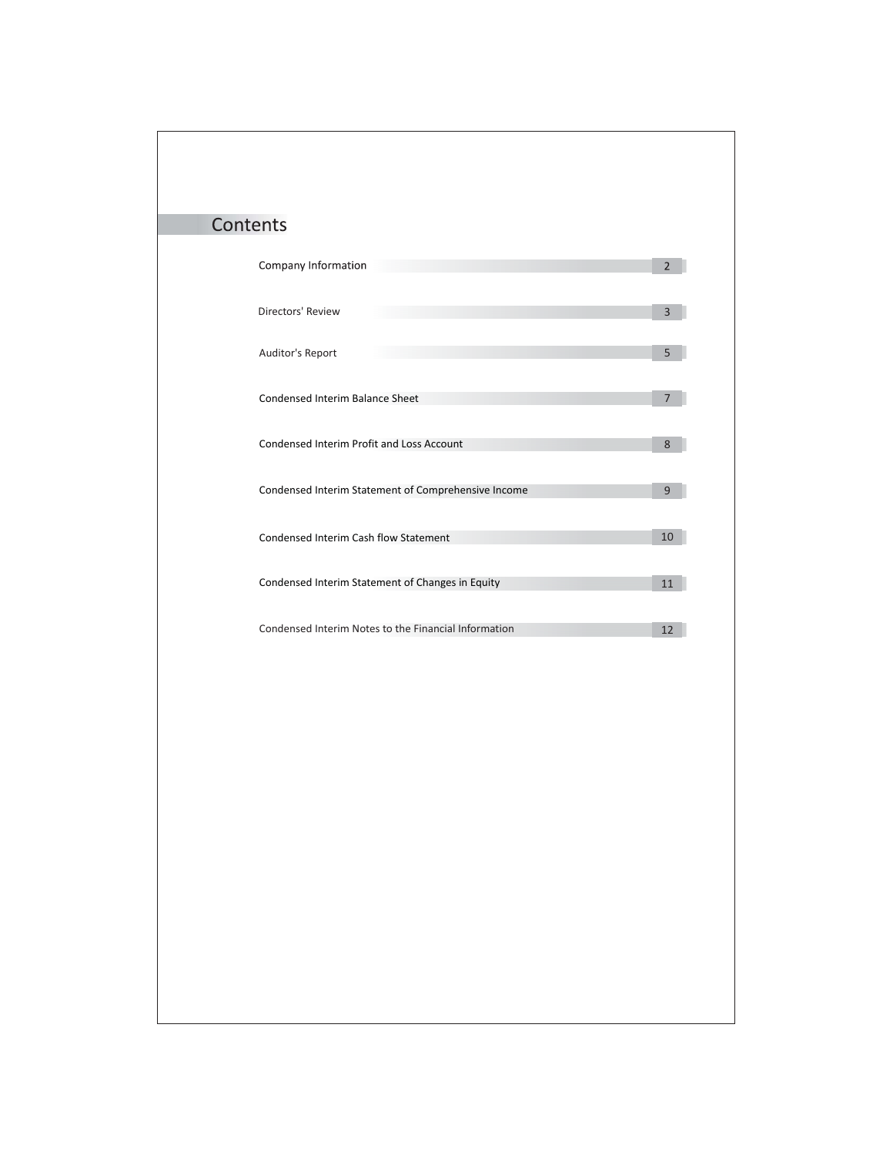| Contents                                             |                |
|------------------------------------------------------|----------------|
|                                                      |                |
| Company Information                                  | $\overline{2}$ |
| Directors' Review                                    |                |
|                                                      | 3              |
| Auditor's Report                                     | 5              |
|                                                      |                |
| Condensed Interim Balance Sheet                      | 7              |
|                                                      |                |
| Condensed Interim Profit and Loss Account            | 8              |
| Condensed Interim Statement of Comprehensive Income  | 9              |
|                                                      |                |
| Condensed Interim Cash flow Statement                | $10\,$         |
|                                                      |                |
| Condensed Interim Statement of Changes in Equity     | 11             |
|                                                      |                |
| Condensed Interim Notes to the Financial Information | 12             |
|                                                      |                |
|                                                      |                |
|                                                      |                |
|                                                      |                |
|                                                      |                |
|                                                      |                |
|                                                      |                |
|                                                      |                |
|                                                      |                |
|                                                      |                |
|                                                      |                |
|                                                      |                |
|                                                      |                |
|                                                      |                |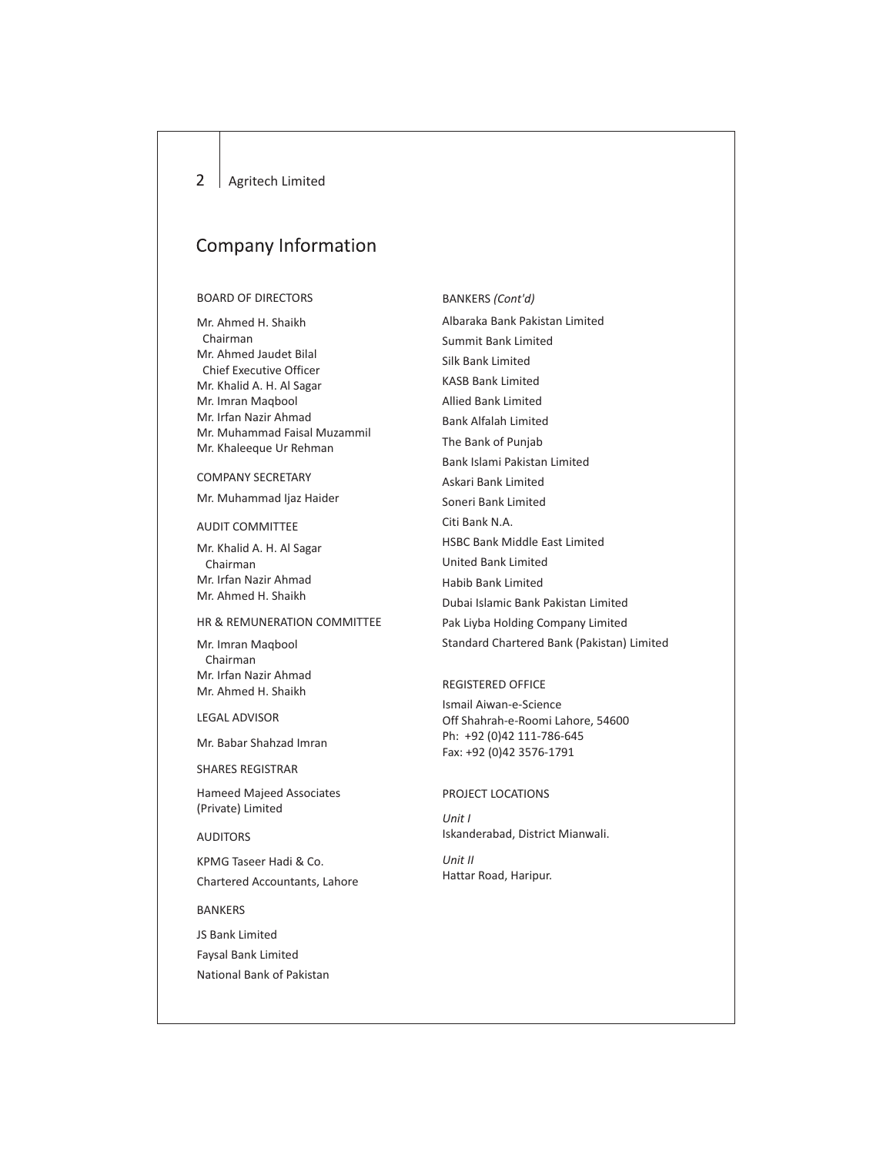#### $\overline{2}$ Agritech Limited

## **Company Information**

## BOARD OF DIRECTORS

Mr. Ahmed H. Shaikh Chairman Mr. Ahmed Jaudet Bilal Chief Executive Officer Mr. Khalid A. H. Al Sagar Mr. Imran Maqbool Mr. Irfan Nazir Ahmad Mr. Muhammad Faisal Muzammil Mr. Khaleeque Ur Rehman

## COMPANY SECRETARY

Mr. Muhammad Ijaz Haider

## AUDIT COMMITTEE

Mr. Khalid A. H. Al Sagar Chairman Mr. Irfan Nazir Ahmad Mr. Ahmed H. Shaikh

## HR & REMUNERATION COMMITTEE

Mr. Imran Maqbool Chairman Mr. Irfan Nazir Ahmad Mr. Ahmed H. Shaikh

## LEGAL ADVISOR

Mr. Babar Shahzad Imran

SHARES REGISTRAR

Hameed Majeed Associates (Private) Limited

AUDITORS

KPMG Taseer Hadi & Co. Chartered Accountants, Lahore

## BANKERS

JS Bank Limited Faysal Bank Limited National Bank of Pakistan

## BANKERS *(Cont'd)*

Albaraka Bank Pakistan Limited Summit Bank Limited Silk Bank Limited KASB Bank Limited Allied Bank Limited Bank Alfalah Limited The Bank of Punjab Bank Islami Pakistan Limited Askari Bank Limited Soneri Bank Limited Citi Bank N.A. HSBC Bank Middle East Limited United Bank Limited Habib Bank Limited Dubai Islamic Bank Pakistan Limited Pak Liyba Holding Company Limited Standard Chartered Bank (Pakistan) Limited

## REGISTERED OFFICE

Ismail Aiwan-e-Science Off Shahrah-e-Roomi Lahore, 54600 Ph: +92 (0)42 111-786-645 Fax: +92 (0)42 3576-1791

## PROJECT LOCATIONS

*Unit I* Iskanderabad, District Mianwali.

*Unit II* Hattar Road, Haripur.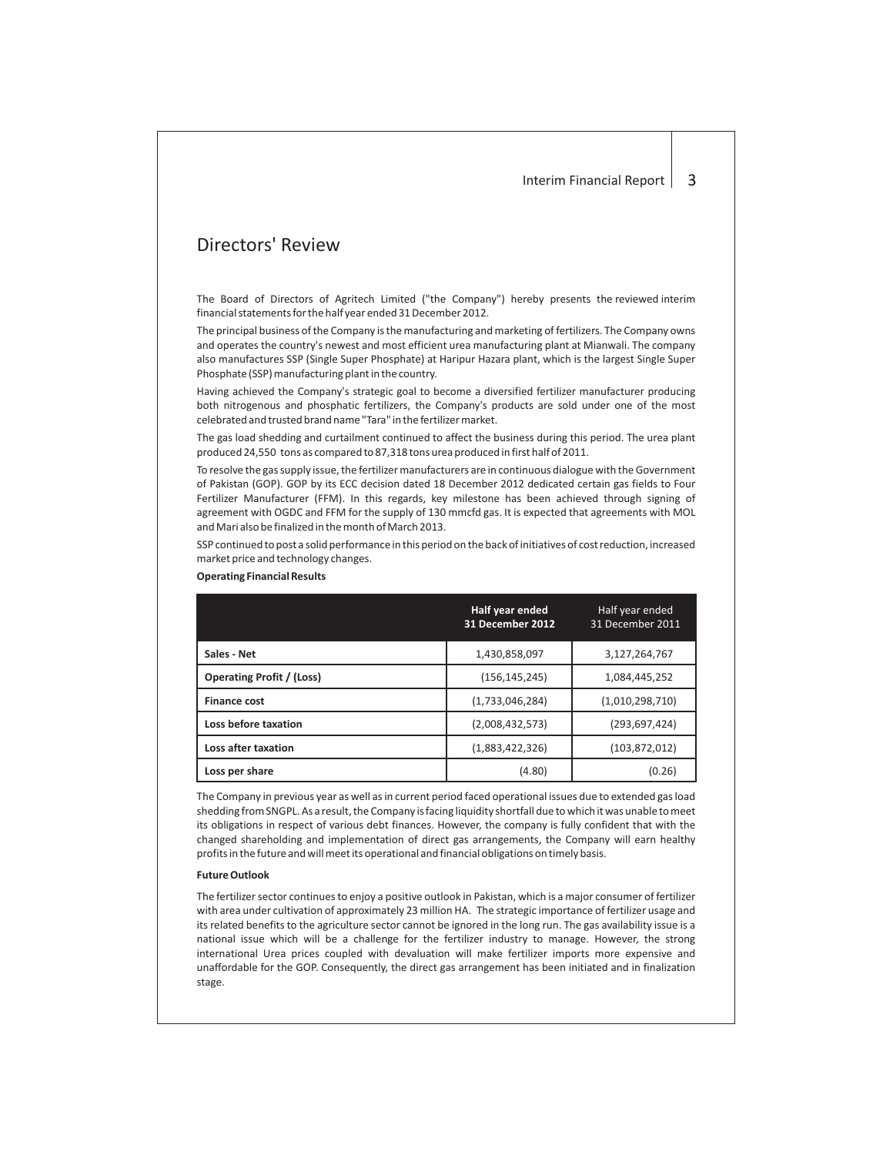## Directors' Review

The Board of Directors of Agritech Limited ("the Company") hereby presents the reviewed interim financial statements for the half year ended 31 December 2012.

The principal business of the Company is the manufacturing and marketing of fertilizers. The Company owns and operates the country's newest and most efficient urea manufacturing plant at Mianwali. The company also manufactures SSP (Single Super Phosphate) at Haripur Hazara plant, which is the largest Single Super Phosphate (SSP) manufacturing plant in the country.

Having achieved the Company's strategic goal to become a diversified fertilizer manufacturer producing both nitrogenous and phosphatic fertilizers, the Company's products are sold under one of the most celebrated and trusted brand name "Tara" in the fertilizer market.

The gas load shedding and curtailment continued to affect the business during this period. The urea plant produced 24,550 tons as compared to 87,318 tons urea produced in first half of 2011.

To resolve the gas supply issue, the fertilizer manufacturers are in continuous dialogue with the Government of Pakistan (GOP). GOP by its ECC decision dated 18 December 2012 dedicated certain gas fields to Four Fertilizer Manufacturer (FFM). In this regards, key milestone has been achieved through signing of agreement with OGDC and FFM for the supply of 130 mmcfd gas. It is expected that agreements with MOL and Mari also be finalized in the month of March 2013.

SSP continued to post a solid performance in this period on the back of initiatives of cost reduction, increased market price and technology changes.

|                                  | Half year ended<br>31 December 2012 | Half year ended<br>31 December 2011 |
|----------------------------------|-------------------------------------|-------------------------------------|
| Sales - Net                      | 1,430,858,097                       | 3,127,264,767                       |
| <b>Operating Profit / (Loss)</b> | (156, 145, 245)                     | 1,084,445,252                       |
| <b>Finance cost</b>              | (1,733,046,284)                     | (1,010,298,710)                     |
| Loss before taxation             | (2,008,432,573)                     | (293, 697, 424)                     |
| Loss after taxation              | (1,883,422,326)                     | (103, 872, 012)                     |
| Loss per share                   | (4.80)                              | (0.26)                              |

## **Operating Financial Results**

The Company in previous year as well as in current period faced operational issues due to extended gas load shedding from SNGPL. As a result, the Company is facing liquidity shortfall due to which it was unable to meet its obligations in respect of various debt finances. However, the company is fully confident that with the changed shareholding and implementation of direct gas arrangements, the Company will earn healthy profits in the future and will meet its operational and financial obligations on timely basis.

#### **Future Outlook**

The fertilizer sector continues to enjoy a positive outlook in Pakistan, which is a major consumer of fertilizer with area under cultivation of approximately 23 million HA. The strategic importance of fertilizer usage and its related benefits to the agriculture sector cannot be ignored in the long run. The gas availability issue is a national issue which will be a challenge for the fertilizer industry to manage. However, the strong international Urea prices coupled with devaluation will make fertilizer imports more expensive and unaffordable for the GOP. Consequently, the direct gas arrangement has been initiated and in finalization stage.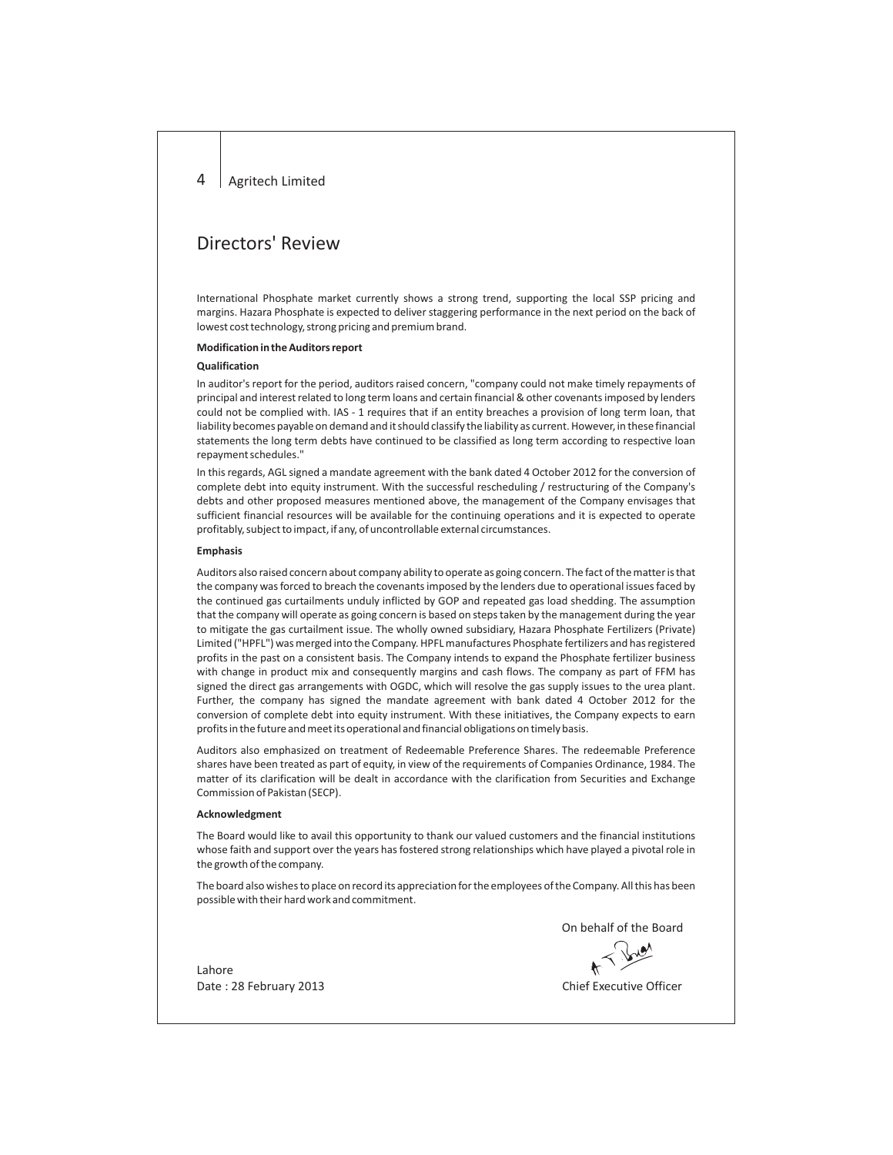#### 4 Agritech Limited

## Directors' Review

International Phosphate market currently shows a strong trend, supporting the local SSP pricing and margins. Hazara Phosphate is expected to deliver staggering performance in the next period on the back of lowest cost technology, strong pricing and premium brand.

### **Modification in the Auditors report**

## **Qualification**

In auditor's report for the period, auditors raised concern, "company could not make timely repayments of principal and interest related to long term loans and certain financial & other covenants imposed by lenders could not be complied with. IAS - 1 requires that if an entity breaches a provision of long term loan, that liability becomes payable on demand and it should classify the liability as current. However, in these financial statements the long term debts have continued to be classified as long term according to respective loan repayment schedules."

In this regards, AGL signed a mandate agreement with the bank dated 4 October 2012 for the conversion of complete debt into equity instrument. With the successful rescheduling / restructuring of the Company's debts and other proposed measures mentioned above, the management of the Company envisages that sufficient financial resources will be available for the continuing operations and it is expected to operate profitably, subject to impact, if any, of uncontrollable external circumstances.

## **Emphasis**

Auditors also raised concern about company ability to operate as going concern. The fact of the matter is that the company was forced to breach the covenants imposed by the lenders due to operational issues faced by the continued gas curtailments unduly inflicted by GOP and repeated gas load shedding. The assumption that the company will operate as going concern is based on steps taken by the management during the year to mitigate the gas curtailment issue. The wholly owned subsidiary, Hazara Phosphate Fertilizers (Private) Limited ("HPFL") was merged into the Company. HPFL manufactures Phosphate fertilizers and has registered profits in the past on a consistent basis. The Company intends to expand the Phosphate fertilizer business with change in product mix and consequently margins and cash flows. The company as part of FFM has signed the direct gas arrangements with OGDC, which will resolve the gas supply issues to the urea plant. Further, the company has signed the mandate agreement with bank dated 4 October 2012 for the conversion of complete debt into equity instrument. With these initiatives, the Company expects to earn profits in the future and meet its operational and financial obligations on timely basis.

Auditors also emphasized on treatment of Redeemable Preference Shares. The redeemable Preference shares have been treated as part of equity, in view of the requirements of Companies Ordinance, 1984. The matter of its clarification will be dealt in accordance with the clarification from Securities and Exchange Commission of Pakistan (SECP).

#### **Acknowledgment**

The Board would like to avail this opportunity to thank our valued customers and the financial institutions whose faith and support over the years has fostered strong relationships which have played a pivotal role in the growth of the company.

The board also wishes to place on record its appreciation for the employees of the Company. All this has been possible with their hard work and commitment.

On behalf of the Board

Lahore Date : 28 February 2013 **Chief Executive Officer**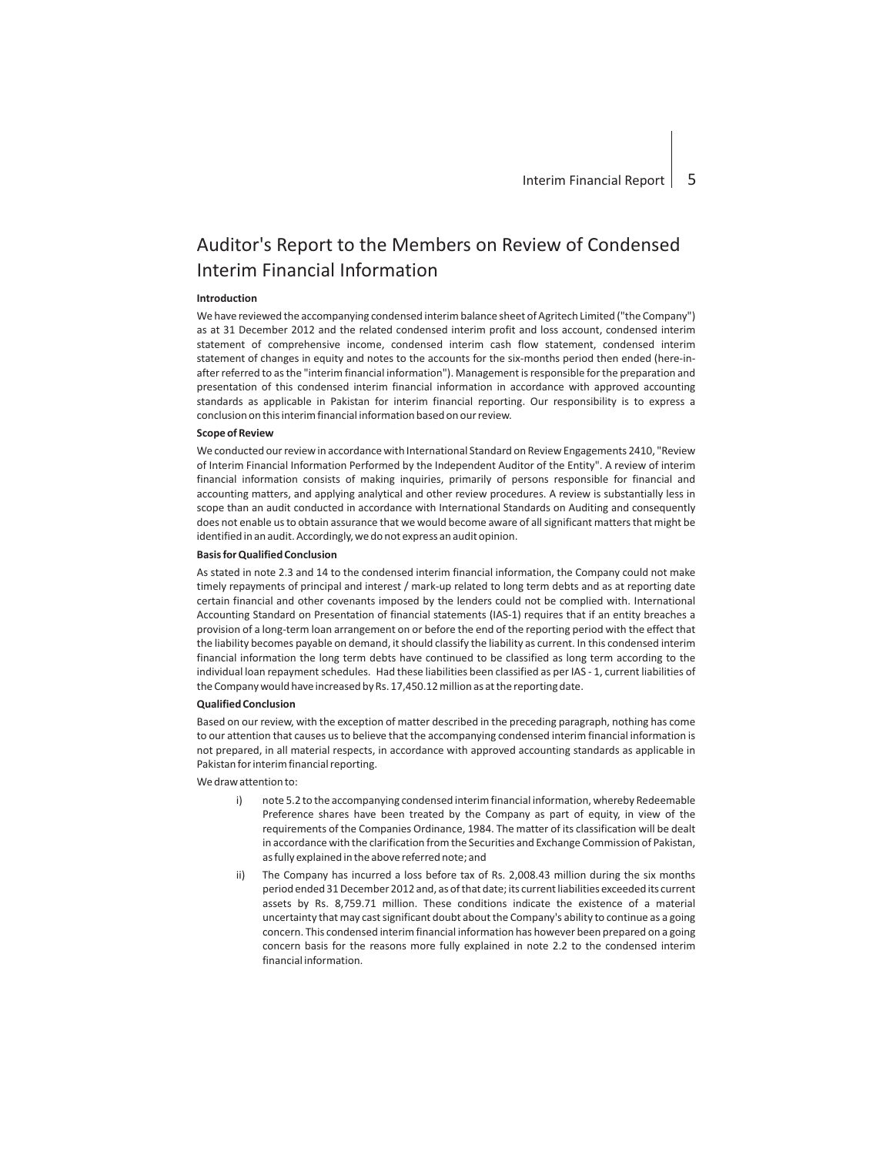# Auditor's Report to the Members on Review of Condensed Interim Financial Information

## **Introduction**

We have reviewed the accompanying condensed interim balance sheet of Agritech Limited ("the Company") as at 31 December 2012 and the related condensed interim profit and loss account, condensed interim statement of comprehensive income, condensed interim cash flow statement, condensed interim statement of changes in equity and notes to the accounts for the six-months period then ended (here-inafter referred to as the "interim financial information"). Management is responsible for the preparation and presentation of this condensed interim financial information in accordance with approved accounting standards as applicable in Pakistan for interim financial reporting. Our responsibility is to express a conclusion on this interim financial information based on our review.

#### **Scope of Review**

We conducted our review in accordance with International Standard on Review Engagements 2410, "Review of Interim Financial Information Performed by the Independent Auditor of the Entity". A review of interim financial information consists of making inquiries, primarily of persons responsible for financial and accounting matters, and applying analytical and other review procedures. A review is substantially less in scope than an audit conducted in accordance with International Standards on Auditing and consequently does not enable us to obtain assurance that we would become aware of all significant matters that might be identified in an audit. Accordingly, we do not express an audit opinion.

## **Basis for Qualified Conclusion**

As stated in note 2.3 and 14 to the condensed interim financial information, the Company could not make timely repayments of principal and interest / mark-up related to long term debts and as at reporting date certain financial and other covenants imposed by the lenders could not be complied with. International Accounting Standard on Presentation of financial statements (IAS-1) requires that if an entity breaches a provision of a long-term loan arrangement on or before the end of the reporting period with the effect that the liability becomes payable on demand, it should classify the liability as current. In this condensed interim financial information the long term debts have continued to be classified as long term according to the individual loan repayment schedules. Had these liabilities been classified as per IAS - 1, current liabilities of the Company would have increased by Rs. 17,450.12 million as at the reporting date.

### **Qualified Conclusion**

Based on our review, with the exception of matter described in the preceding paragraph, nothing has come to our attention that causes us to believe that the accompanying condensed interim financial information is not prepared, in all material respects, in accordance with approved accounting standards as applicable in Pakistan for interim financial reporting.

We draw attention to:

- i) note 5.2 to the accompanying condensed interim financial information, whereby Redeemable Preference shares have been treated by the Company as part of equity, in view of the requirements of the Companies Ordinance, 1984. The matter of its classification will be dealt in accordance with the clarification from the Securities and Exchange Commission of Pakistan, as fully explained in the above referred note; and
- ii) The Company has incurred a loss before tax of Rs. 2,008.43 million during the six months period ended 31 December 2012 and, as of that date; its current liabilities exceeded its current assets by Rs. 8,759.71 million. These conditions indicate the existence of a material uncertainty that may cast significant doubt about the Company's ability to continue as a going concern. This condensed interim financial information has however been prepared on a going concern basis for the reasons more fully explained in note 2.2 to the condensed interim financial information.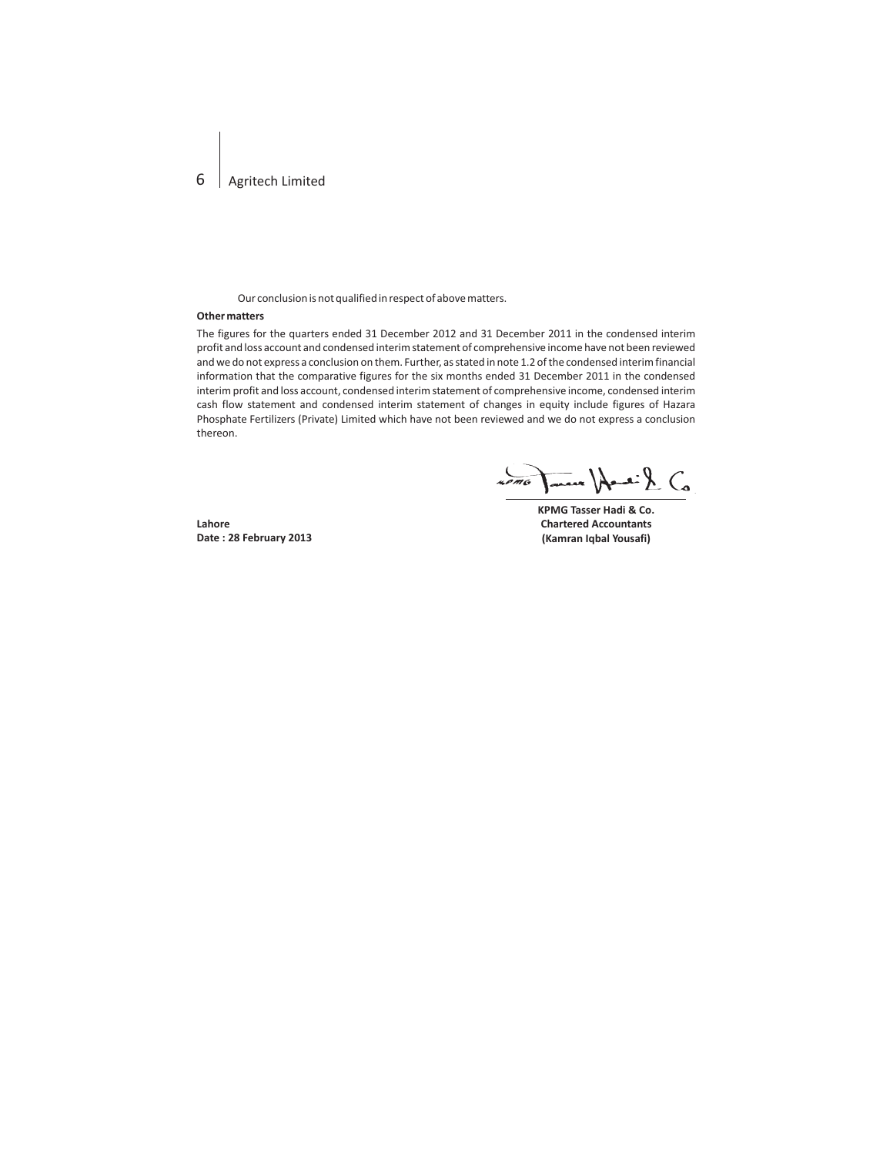## 6 Agritech Limited

Our conclusion is not qualified in respect of above matters.

## **Other matters**

The figures for the quarters ended 31 December 2012 and 31 December 2011 in the condensed interim profit and loss account and condensed interim statement of comprehensive income have not been reviewed and we do not express a conclusion on them. Further, as stated in note 1.2 of the condensed interim financial information that the comparative figures for the six months ended 31 December 2011 in the condensed interim profit and loss account, condensed interim statement of comprehensive income, condensed interim cash flow statement and condensed interim statement of changes in equity include figures of Hazara Phosphate Fertilizers (Private) Limited which have not been reviewed and we do not express a conclusion thereon.

James Handi & Co  $2000$ 

**Lahore Date : 28 February 2013** **KPMG Tasser Hadi & Co. Chartered Accountants (Kamran Iqbal Yousafi)**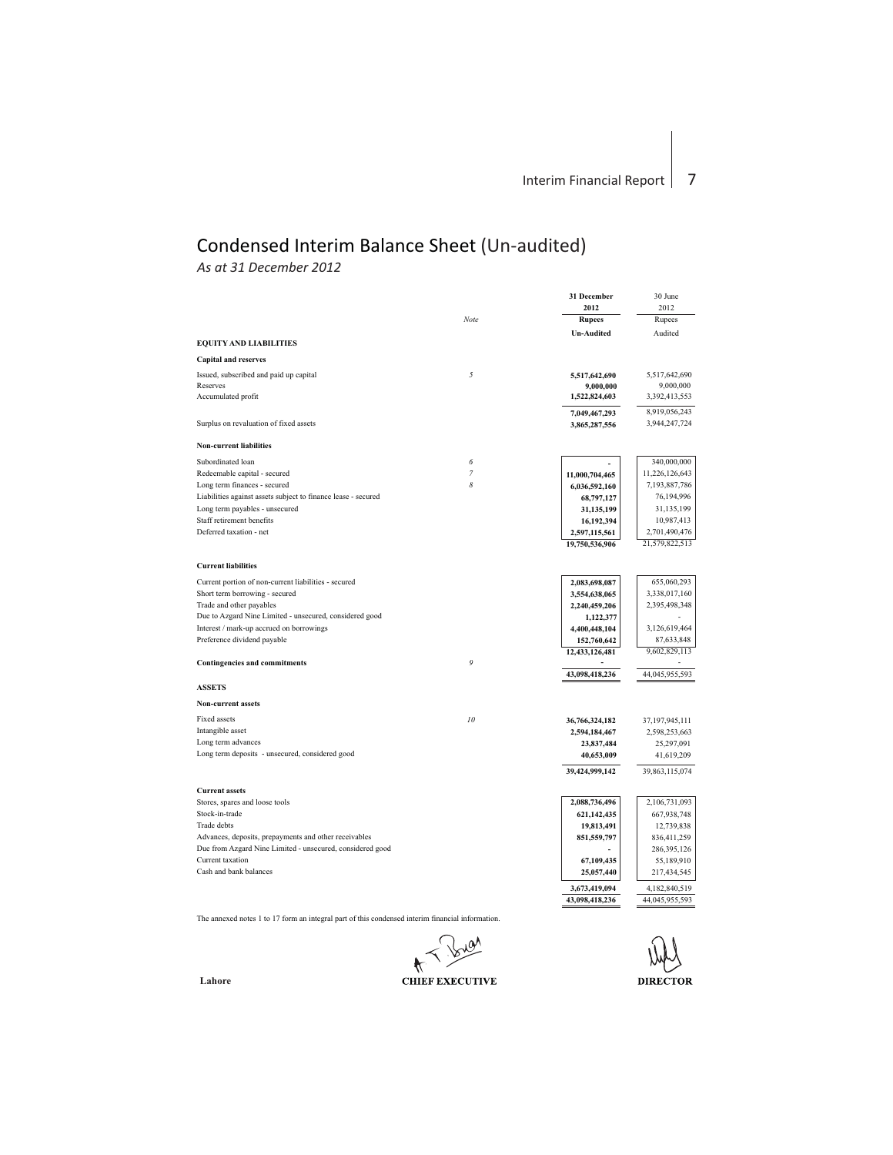# Condensed Interim Balance Sheet (Un-audited)

*As at 31 December 2012*

|                                                               |                | 31 December                     | 30 June        |
|---------------------------------------------------------------|----------------|---------------------------------|----------------|
|                                                               |                | 2012                            | 2012           |
|                                                               | Note           | <b>Rupees</b>                   | Rupees         |
|                                                               |                | <b>Un-Audited</b>               | Audited        |
| <b>EQUITY AND LIABILITIES</b>                                 |                |                                 |                |
| <b>Capital and reserves</b>                                   |                |                                 |                |
| Issued, subscribed and paid up capital                        | 5              | 5,517,642,690                   | 5.517.642.690  |
| Reserves                                                      |                | 9,000,000                       | 9,000,000      |
| Accumulated profit                                            |                | 1,522,824,603                   | 3,392,413,553  |
|                                                               |                | 7,049,467,293                   | 8,919,056,243  |
| Surplus on revaluation of fixed assets                        |                | 3,865,287,556                   | 3,944,247,724  |
| <b>Non-current liabilities</b>                                |                |                                 |                |
| Subordinated loan                                             | 6              |                                 | 340,000,000    |
| Redeemable capital - secured                                  | $\overline{7}$ |                                 | 11,226,126,643 |
| Long term finances - secured                                  | 8              | 11,000,704,465<br>6,036,592,160 | 7,193,887,786  |
| Liabilities against assets subject to finance lease - secured |                |                                 | 76,194,996     |
| Long term payables - unsecured                                |                | 68,797,127<br>31,135,199        | 31,135,199     |
| Staff retirement benefits                                     |                | 16,192,394                      | 10,987,413     |
| Deferred taxation - net                                       |                | 2,597,115,561                   | 2,701,490,476  |
|                                                               |                | 19,750,536,906                  | 21,579,822,513 |
|                                                               |                |                                 |                |
| <b>Current liabilities</b>                                    |                |                                 |                |
| Current portion of non-current liabilities - secured          |                | 2,083,698,087                   | 655,060,293    |
| Short term borrowing - secured                                |                | 3,554,638,065                   | 3,338,017,160  |
| Trade and other payables                                      |                | 2,240,459,206                   | 2,395,498,348  |
| Due to Azgard Nine Limited - unsecured, considered good       |                | 1,122,377                       |                |
| Interest / mark-up accrued on borrowings                      |                | 4,400,448,104                   | 3,126,619,464  |
| Preference dividend payable                                   |                | 152,760,642                     | 87,633,848     |
|                                                               |                | 12,433,126,481                  | 9,602,829,113  |
| <b>Contingencies and commitments</b>                          | 9              |                                 |                |
|                                                               |                | 43,098,418,236                  | 44,045,955,593 |
| <b>ASSETS</b>                                                 |                |                                 |                |
| <b>Non-current assets</b>                                     |                |                                 |                |
| Fixed assets                                                  | 10             | 36,766,324,182                  | 37,197,945,111 |
| Intangible asset                                              |                | 2,594,184,467                   | 2,598,253,663  |
| Long term advances                                            |                | 23,837,484                      | 25,297,091     |
| Long term deposits - unsecured, considered good               |                | 40,653,009                      | 41,619,209     |
|                                                               |                | 39,424,999,142                  | 39,863,115,074 |
| <b>Current assets</b>                                         |                |                                 |                |
| Stores, spares and loose tools                                |                | 2,088,736,496                   | 2,106,731,093  |
| Stock-in-trade                                                |                | 621,142,435                     | 667,938,748    |
| Trade debts                                                   |                | 19,813,491                      | 12,739,838     |
| Advances, deposits, prepayments and other receivables         |                | 851,559,797                     | 836,411,259    |
| Due from Azgard Nine Limited - unsecured, considered good     |                |                                 | 286,395,126    |
| Current taxation                                              |                | 67,109,435                      | 55,189,910     |
| Cash and bank balances                                        |                | 25,057,440                      | 217,434,545    |
|                                                               |                | 3,673,419,094                   | 4,182,840,519  |
|                                                               |                | 43,098,418,236                  | 44,045,955,593 |
|                                                               |                |                                 |                |

The annexed notes 1 to 17 form an integral part of this condensed interim financial information.

 $20<sup>0</sup>$  $\star$ **CHIEF EXECUTIVE** 

**DIRECTOR**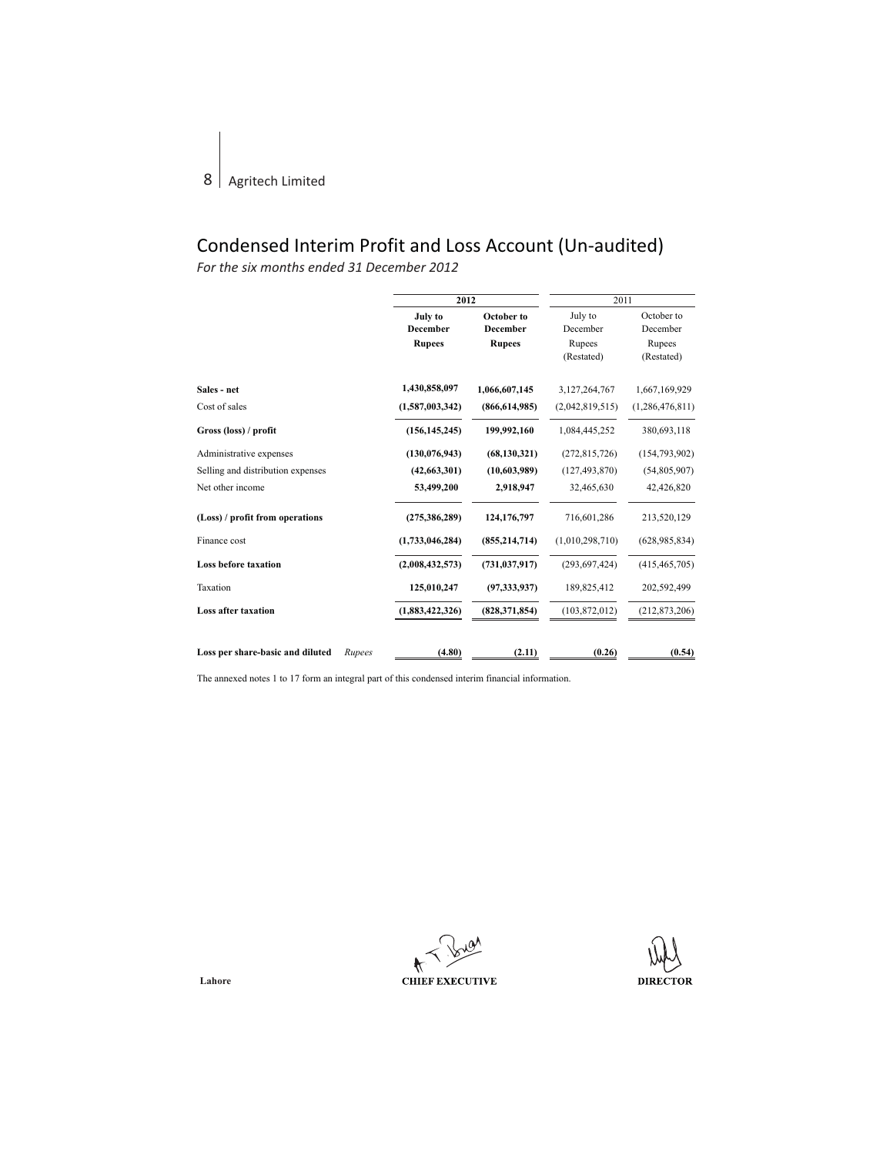# Condensed Interim Profit and Loss Account (Un-audited)

*For the six months ended 31 December 2012*

|                                            | 2012                |                        | 2011                 |                        |
|--------------------------------------------|---------------------|------------------------|----------------------|------------------------|
|                                            | July to<br>December | October to<br>December | July to<br>December  | October to<br>December |
|                                            | <b>Rupees</b>       | <b>Rupees</b>          | Rupees<br>(Restated) | Rupees<br>(Restated)   |
| Sales - net                                | 1,430,858,097       | 1,066,607,145          | 3,127,264,767        | 1,667,169,929          |
| Cost of sales                              | (1,587,003,342)     | (866, 614, 985)        | (2,042,819,515)      | (1,286,476,811)        |
| Gross (loss) / profit                      | (156, 145, 245)     | 199,992,160            | 1,084,445,252        | 380,693,118            |
| Administrative expenses                    | (130, 076, 943)     | (68, 130, 321)         | (272, 815, 726)      | (154, 793, 902)        |
| Selling and distribution expenses          | (42,663,301)        | (10,603,989)           | (127, 493, 870)      | (54,805,907)           |
| Net other income                           | 53,499,200          | 2,918,947              | 32,465,630           | 42,426,820             |
| (Loss) / profit from operations            | (275, 386, 289)     | 124,176,797            | 716,601,286          | 213,520,129            |
| Finance cost                               | (1,733,046,284)     | (855, 214, 714)        | (1,010,298,710)      | (628, 985, 834)        |
| Loss before taxation                       | (2,008,432,573)     | (731, 037, 917)        | (293, 697, 424)      | (415, 465, 705)        |
| Taxation                                   | 125,010,247         | (97, 333, 937)         | 189,825,412          | 202,592,499            |
| <b>Loss after taxation</b>                 | (1,883,422,326)     | (828, 371, 854)        | (103, 872, 012)      | (212, 873, 206)        |
|                                            |                     |                        |                      |                        |
| Loss per share-basic and diluted<br>Rupees | (4.80)              | (2.11)                 | (0.26)               | (0.54)                 |

The annexed notes 1 to 17 form an integral part of this condensed interim financial information.

 $\bigstar$ **CHIEF EXECUTIVE** 

**DIRECTOR**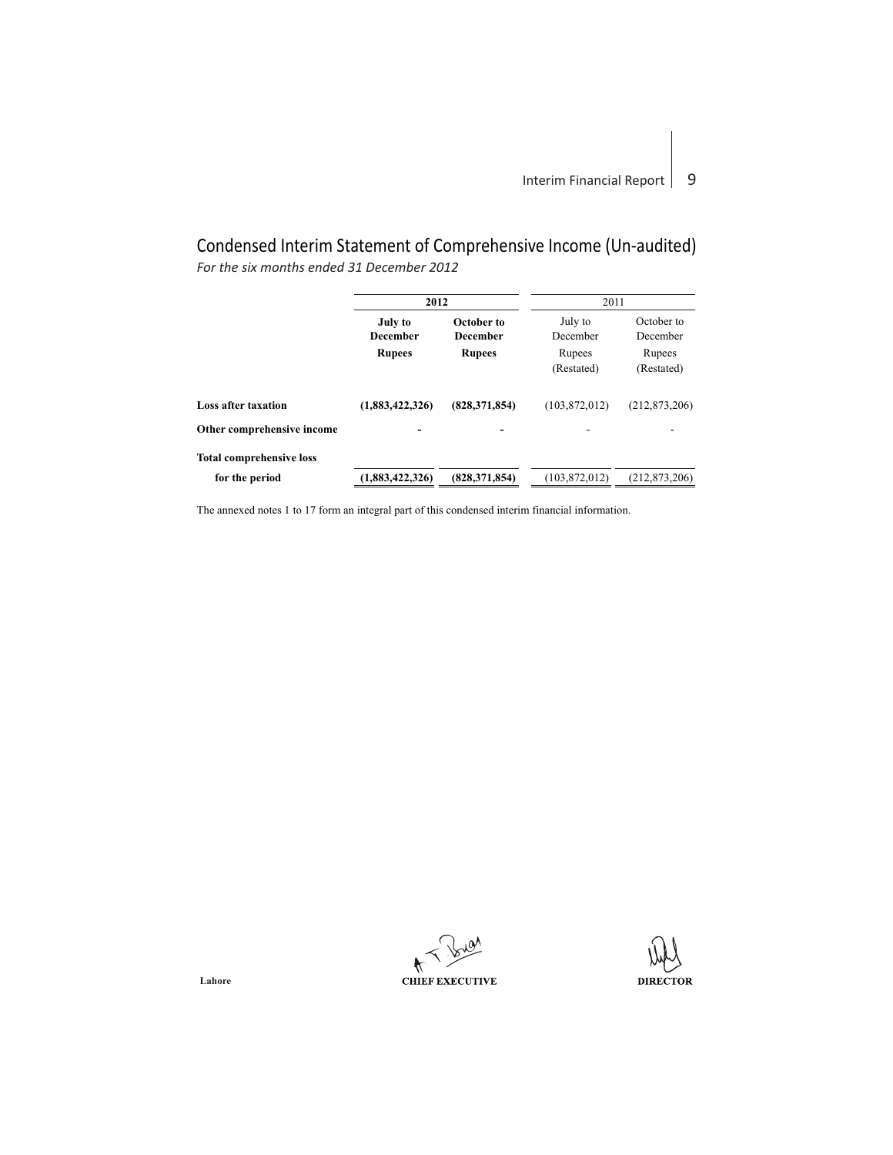# Condensed Interim Statement of Comprehensive Income (Un-audited) *For the six months ended 31 December 2012*

|                                 | 2012            |                 | 2011            |                 |  |
|---------------------------------|-----------------|-----------------|-----------------|-----------------|--|
|                                 | <b>July to</b>  | October to      |                 | October to      |  |
|                                 | <b>December</b> | <b>December</b> | December        | December        |  |
|                                 | <b>Rupees</b>   | <b>Rupees</b>   | Rupees          | Rupees          |  |
|                                 |                 |                 | (Restated)      | (Restated)      |  |
| <b>Loss after taxation</b>      | (1,883,422,326) | (828, 371, 854) | (103, 872, 012) | (212, 873, 206) |  |
| Other comprehensive income      |                 |                 |                 |                 |  |
| <b>Total comprehensive loss</b> |                 |                 |                 |                 |  |
| for the period                  | (1,883,422,326) | (828, 371, 854) | (103, 872, 012) | (212, 873, 206) |  |
|                                 |                 |                 |                 |                 |  |

The annexed notes 1 to 17 form an integral part of this condensed interim financial information.

 $\bigstar$ **CHIEF EXECUTIVE** 

**DIRECTOR**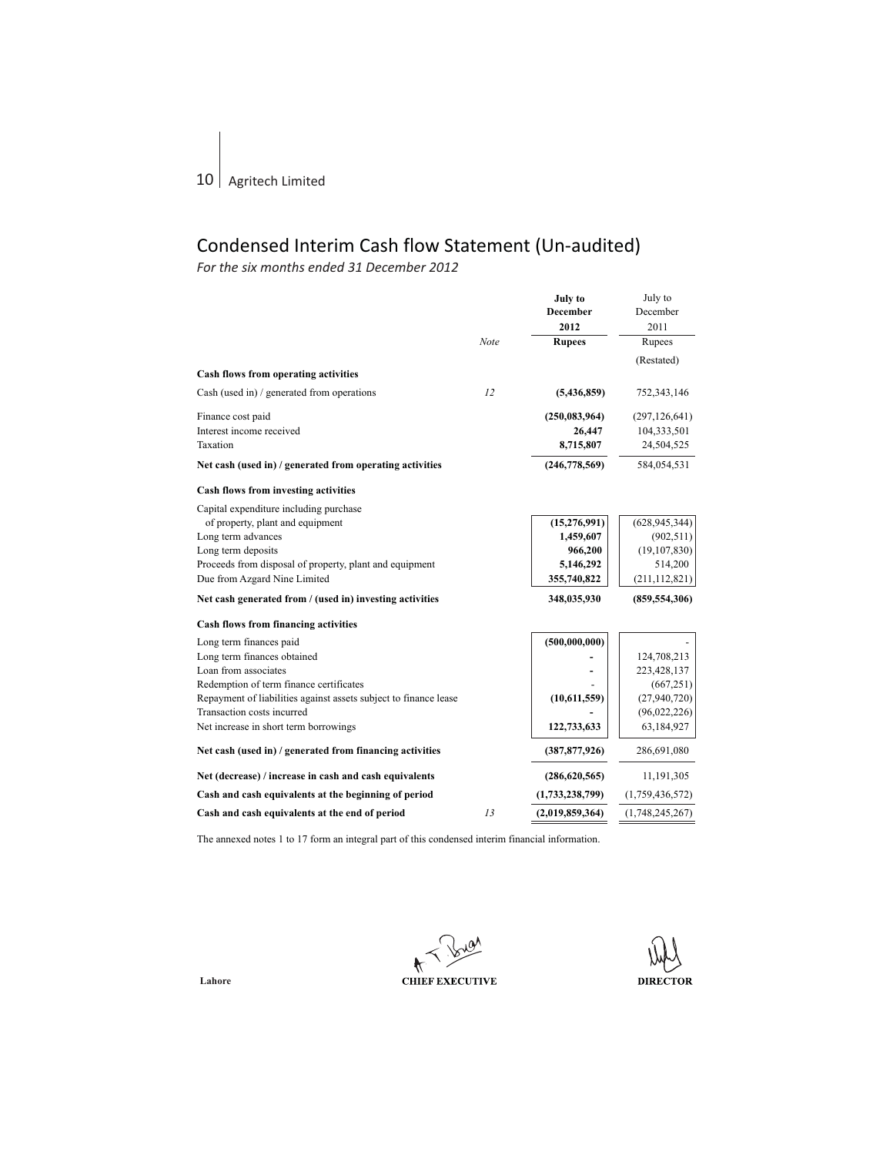# Condensed Interim Cash flow Statement (Un-audited)

*For the six months ended 31 December 2012*

|                                                                  |      | July to         | July to         |
|------------------------------------------------------------------|------|-----------------|-----------------|
|                                                                  |      | <b>December</b> | December        |
|                                                                  |      | 2012            | 2011            |
|                                                                  | Note | <b>Rupees</b>   | Rupees          |
|                                                                  |      |                 | (Restated)      |
| Cash flows from operating activities                             |      |                 |                 |
| Cash (used in) / generated from operations                       | 12   | (5,436,859)     | 752,343,146     |
| Finance cost paid                                                |      | (250, 083, 964) | (297, 126, 641) |
| Interest income received                                         |      | 26,447          | 104,333,501     |
| Taxation                                                         |      | 8,715,807       | 24,504,525      |
| Net cash (used in) / generated from operating activities         |      | (246, 778, 569) | 584,054,531     |
| Cash flows from investing activities                             |      |                 |                 |
| Capital expenditure including purchase                           |      |                 |                 |
| of property, plant and equipment                                 |      | (15,276,991)    | (628, 945, 344) |
| Long term advances                                               |      | 1,459,607       | (902, 511)      |
| Long term deposits                                               |      | 966,200         | (19, 107, 830)  |
| Proceeds from disposal of property, plant and equipment          |      | 5,146,292       | 514,200         |
| Due from Azgard Nine Limited                                     |      | 355,740,822     | (211, 112, 821) |
| Net cash generated from / (used in) investing activities         |      | 348,035,930     | (859, 554, 306) |
| Cash flows from financing activities                             |      |                 |                 |
| Long term finances paid                                          |      | (500,000,000)   |                 |
| Long term finances obtained                                      |      |                 | 124,708,213     |
| Loan from associates                                             |      |                 | 223,428,137     |
| Redemption of term finance certificates                          |      |                 | (667, 251)      |
| Repayment of liabilities against assets subject to finance lease |      | (10,611,559)    | (27,940,720)    |
| Transaction costs incurred                                       |      |                 | (96,022,226)    |
| Net increase in short term borrowings                            |      | 122,733,633     | 63,184,927      |
| Net cash (used in) / generated from financing activities         |      | (387, 877, 926) | 286,691,080     |
| Net (decrease) / increase in cash and cash equivalents           |      | (286, 620, 565) | 11,191,305      |
| Cash and cash equivalents at the beginning of period             |      | (1,733,238,799) | (1,759,436,572) |
| Cash and cash equivalents at the end of period                   | 13   | (2,019,859,364) | (1,748,245,267) |

The annexed notes 1 to 17 form an integral part of this condensed interim financial information.

 $\star$ **CHIEF EXECUTIVE** 

**DIRECTOR**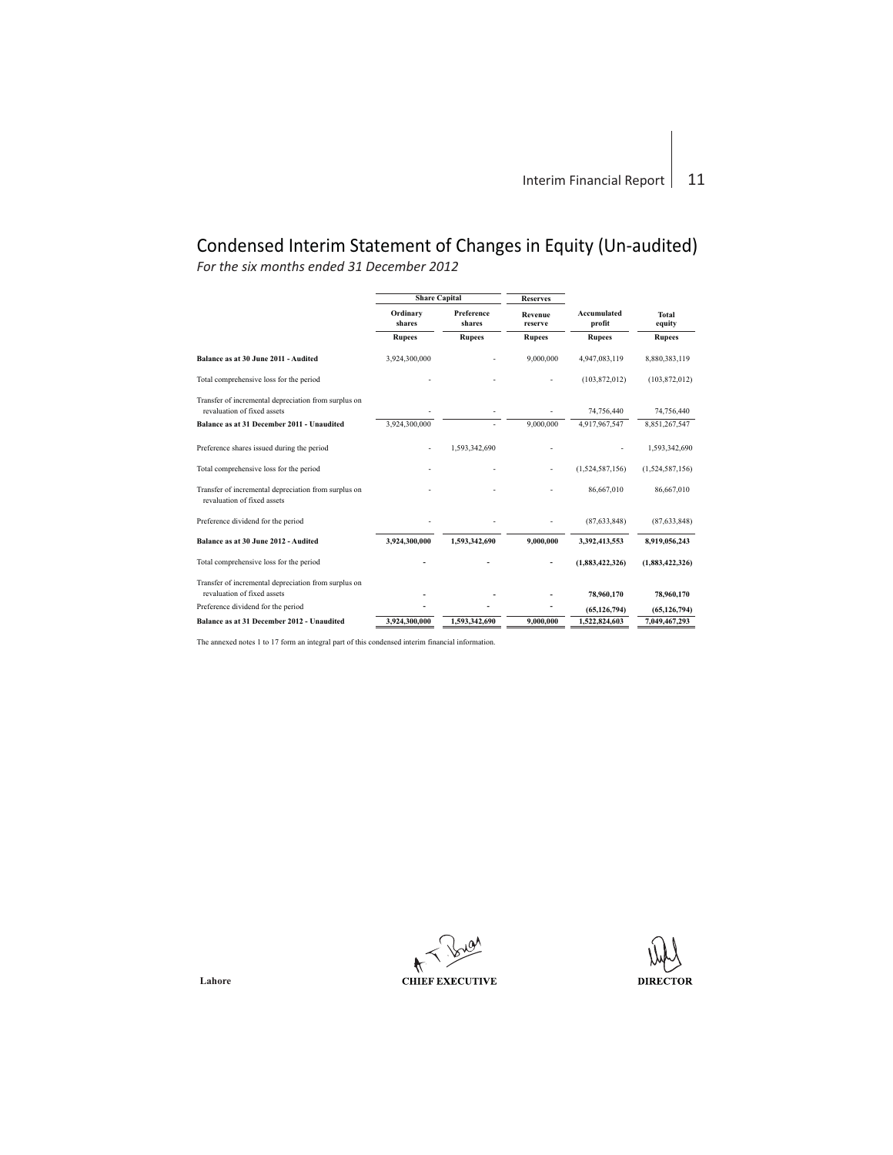# Condensed Interim Statement of Changes in Equity (Un-audited)

*For the six months ended 31 December 2012*

|                                                                                      | <b>Share Capital</b> |                             | <b>Reserves</b>    |                              |                 |
|--------------------------------------------------------------------------------------|----------------------|-----------------------------|--------------------|------------------------------|-----------------|
|                                                                                      | Ordinary<br>shares   | <b>Preference</b><br>shares | Revenue<br>reserve | <b>Accumulated</b><br>profit | Total<br>equity |
|                                                                                      | <b>Rupees</b>        | <b>Rupees</b>               | <b>Rupees</b>      | <b>Rupees</b>                | <b>Rupees</b>   |
| Balance as at 30 June 2011 - Audited                                                 | 3,924,300,000        |                             | 9,000,000          | 4,947,083,119                | 8,880,383,119   |
| Total comprehensive loss for the period                                              |                      |                             |                    | (103, 872, 012)              | (103, 872, 012) |
| Transfer of incremental depreciation from surplus on<br>revaluation of fixed assets. |                      |                             |                    | 74,756,440                   | 74,756,440      |
| Balance as at 31 December 2011 - Unaudited                                           | 3.924.300.000        |                             | 9,000,000          | 4.917.967.547                | 8,851,267,547   |
| Preference shares issued during the period                                           |                      | 1.593.342.690               |                    |                              | 1,593,342,690   |
| Total comprehensive loss for the period                                              |                      |                             |                    | (1,524,587,156)              | (1,524,587,156) |
| Transfer of incremental depreciation from surplus on<br>revaluation of fixed assets  |                      |                             |                    | 86,667,010                   | 86,667,010      |
| Preference dividend for the period                                                   |                      |                             |                    | (87, 633, 848)               | (87, 633, 848)  |
| Balance as at 30 June 2012 - Audited                                                 | 3,924,300,000        | 1,593,342,690               | 9,000,000          | 3,392,413,553                | 8,919,056,243   |
| Total comprehensive loss for the period                                              |                      |                             |                    | (1,883,422,326)              | (1,883,422,326) |
| Transfer of incremental depreciation from surplus on<br>revaluation of fixed assets. |                      |                             |                    | 78.960.170                   | 78,960,170      |
| Preference dividend for the period                                                   |                      |                             |                    | (65, 126, 794)               | (65, 126, 794)  |
| Balance as at 31 December 2012 - Unaudited                                           | 3.924.300.000        | 1.593.342.690               | 9,000,000          | 1.522.824.603                | 7.049.467.293   |

The annexed notes 1 to 17 form an integral part of this condensed interim financial information.

**CHIEF EXECUTIVE** 

**DIRECTOR**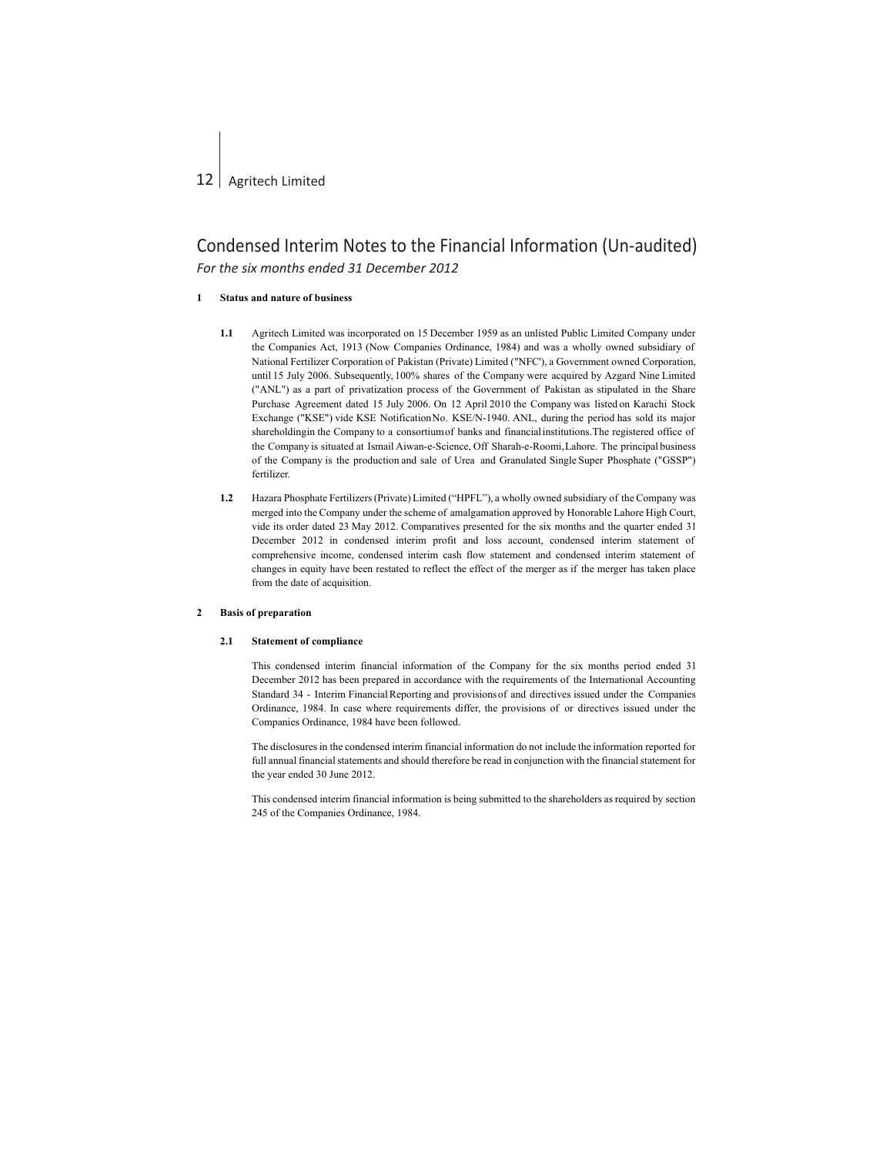### **1 Status and nature of business**

- **1.1** Agritech Limited was incorporated on 15 December 1959 as an unlisted Public Limited Company under the Companies Act, 1913 (Now Companies Ordinance, 1984) and was a wholly owned subsidiary of National Fertilizer Corporation of Pakistan (Private) Limited ("NFC'), a Government owned Corporation, until 15 July 2006. Subsequently, 100% shares of the Company were acquired by Azgard Nine Limited ("ANL") as a part of privatization process of the Government of Pakistan as stipulated in the Share Purchase Agreement dated 15 July 2006. On 12 April 2010 the Company was listed on Karachi Stock Exchange ("KSE") vide KSE NotificationNo. KSE/N-1940. ANL, during the period has sold its major shareholdingin the Company to a consortiumof banks and financialinstitutions.The registered office of the Company is situated at Ismail Aiwan-e-Science, Off Sharah-e-Roomi,Lahore. The principal business of the Company is the production and sale of Urea and Granulated Single Super Phosphate ("GSSP") fertilizer.
- **1.2** Hazara Phosphate Fertilizers (Private) Limited ("HPFL"), a wholly owned subsidiary of the Company was merged into the Company under the scheme of amalgamation approved by Honorable Lahore High Court, vide its order dated 23 May 2012. Comparatives presented for the six months and the quarter ended 31 December 2012 in condensed interim profit and loss account, condensed interim statement of comprehensive income, condensed interim cash flow statement and condensed interim statement of changes in equity have been restated to reflect the effect of the merger as if the merger has taken place from the date of acquisition.

### **2 Basis of preparation**

#### **2.1 Statement of compliance**

This condensed interim financial information of the Company for the six months period ended 31 December 2012 has been prepared in accordance with the requirements of the International Accounting Standard 34 - Interim Financial Reporting and provisionsof and directives issued under the Companies Ordinance, 1984. In case where requirements differ, the provisions of or directives issued under the Companies Ordinance, 1984 have been followed.

The disclosures in the condensed interim financial information do not include the information reported for full annual financial statements and should therefore be read in conjunction with the financial statement for the year ended 30 June 2012.

This condensed interim financial information is being submitted to the shareholders as required by section 245 of the Companies Ordinance, 1984.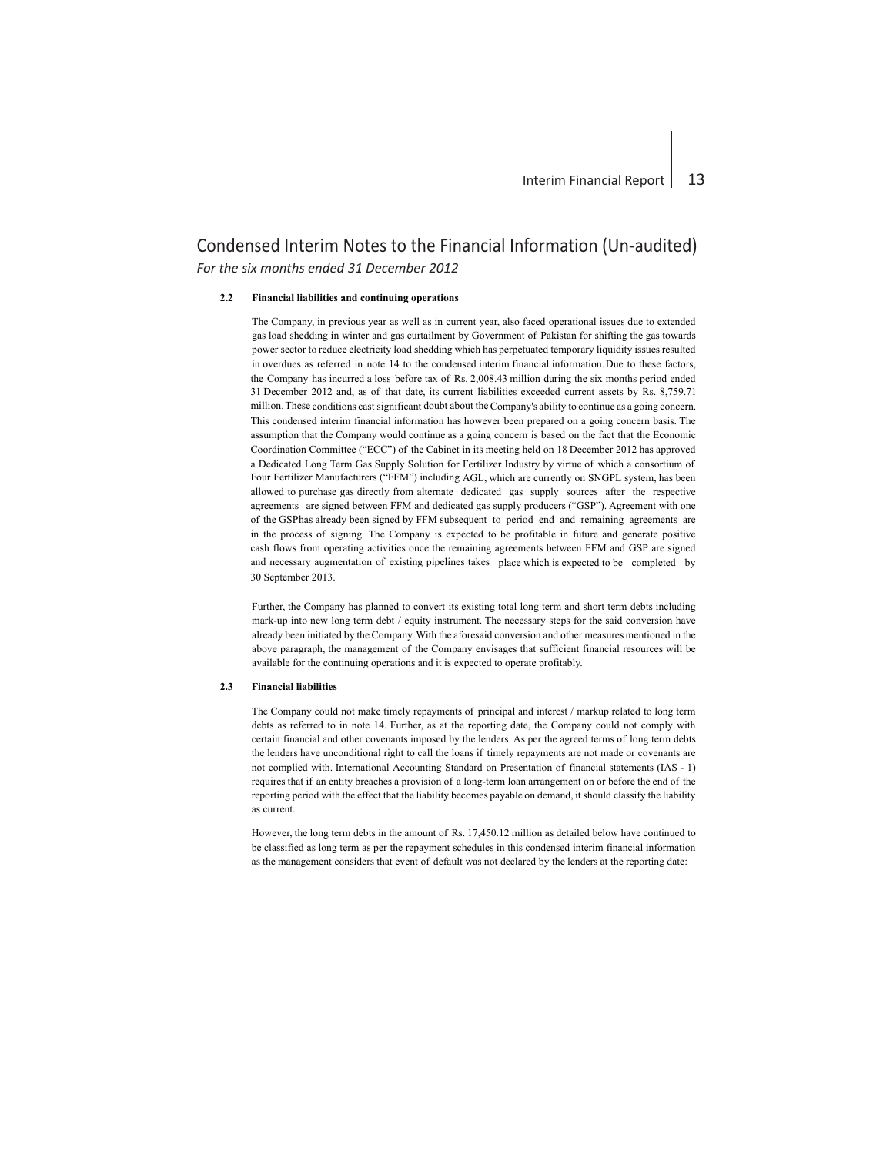## **2.2 Financial liabilities and continuing operations**

the Company has incurred a loss before tax of Rs. 2,008.43 million during the six months period ended 31 December 2012 and, as of that date, its current liabilities exceeded current assets by Rs. 8,759.71 million. These conditions cast significant doubt about the Company's ability to continue as a going concern. This condensed interim financial information has however been prepared on a going concern basis. The The Company, in previous year as well as in current year, also faced operational issues due to extended gas load shedding in winter and gas curtailment by Government of Pakistan for shifting the gas towards power sector to reduce electricity load shedding which has perpetuated temporary liquidity issues resulted in overdues as referred in note 14 to the condensed interim financial information. Due to these factors, assumption that the Company would continue as a going concern is based on the fact that the Economic Coordination Committee ("ECC") of the Cabinet in its meeting held on 18 December 2012 has approved a Dedicated Long Term Gas Supply Solution for Fertilizer Industry by virtue of which a consortium of Four Fertilizer Manufacturers ("FFM") including AGL, which are currently on SNGPL system, has been allowed to purchase gas directly from alternate dedicated gas supply sources after the respective agreements are signed between FFM and dedicated gas supply producers ("GSP"). Agreement with one of the GSPhas already been signed by FFM subsequent to period end and remaining agreements are in the process of signing. The Company is expected to be profitable in future and generate positive cash flows from operating activities once the remaining agreements between FFM and GSP are signed and necessary augmentation of existing pipelines takes place which is expected to be completed by 30 September 2013.

Further, the Company has planned to convert its existing total long term and short term debts including mark-up into new long term debt / equity instrument. The necessary steps for the said conversion have already been initiated by the Company. With the aforesaid conversion and other measures mentioned in the above paragraph, the management of the Company envisages that sufficient financial resources will be available for the continuing operations and it is expected to operate profitably.

## **2.3 Financial liabilities**

The Company could not make timely repayments of principal and interest / markup related to long term debts as referred to in note 14. Further, as at the reporting date, the Company could not comply with certain financial and other covenants imposed by the lenders. As per the agreed terms of long term debts the lenders have unconditional right to call the loans if timely repayments are not made or covenants are not complied with. International Accounting Standard on Presentation of financial statements (IAS - 1) requires that if an entity breaches a provision of a long-term loan arrangement on or before the end of the reporting period with the effect that the liability becomes payable on demand, it should classify the liability as current.

However, the long term debts in the amount of Rs. 17,450.12 million as detailed below have continued to be classified as long term as per the repayment schedules in this condensed interim financial information as the management considers that event of default was not declared by the lenders at the reporting date: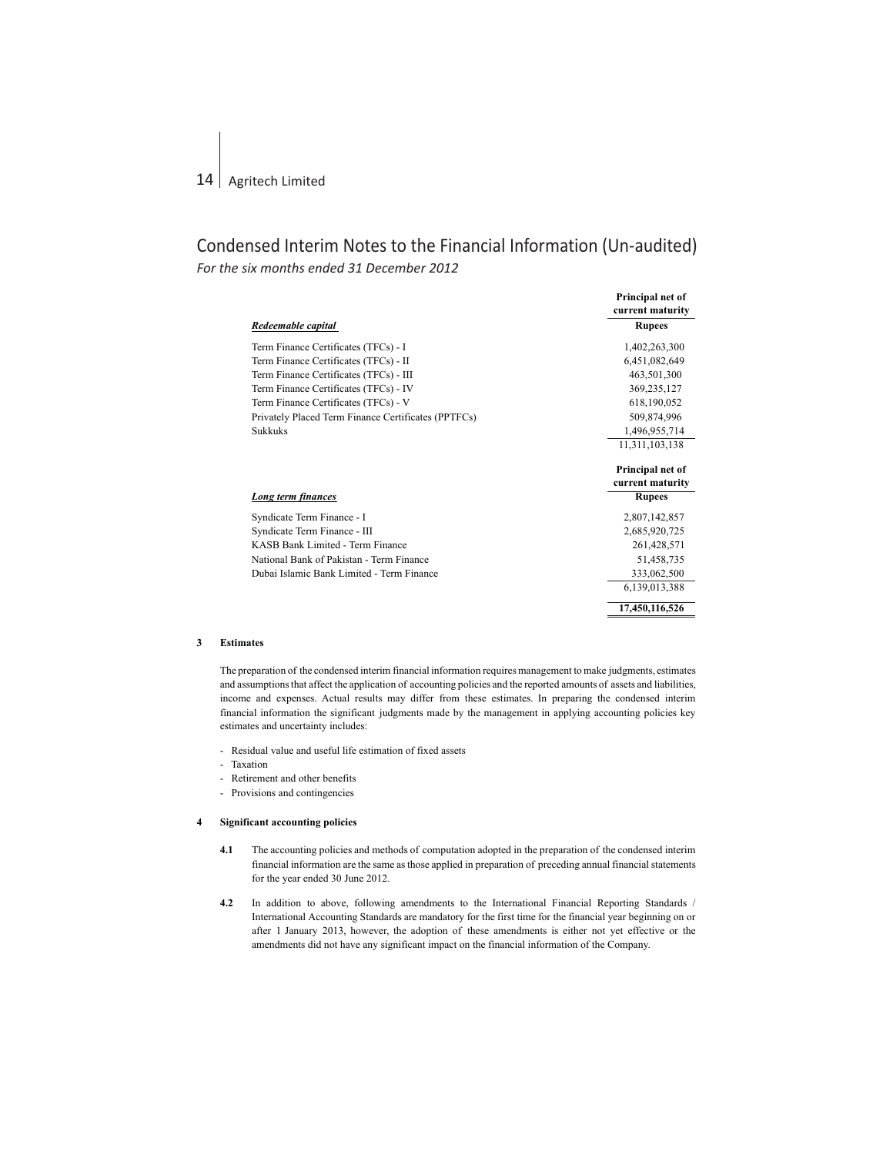|                                                     | Principal net of |
|-----------------------------------------------------|------------------|
|                                                     | current maturity |
| Redeemable capital                                  | <b>Rupees</b>    |
| Term Finance Certificates (TFCs) - I                | 1,402,263,300    |
| Term Finance Certificates (TFCs) - II               | 6,451,082,649    |
| Term Finance Certificates (TFCs) - III              | 463,501,300      |
| Term Finance Certificates (TFCs) - IV               | 369,235,127      |
| Term Finance Certificates (TFCs) - V                | 618,190,052      |
| Privately Placed Term Finance Certificates (PPTFCs) | 509,874,996      |
| <b>Sukkuks</b>                                      | 1,496,955,714    |
|                                                     | 11,311,103,138   |
|                                                     | Principal net of |
|                                                     | current maturity |
| Long term finances                                  | <b>Rupees</b>    |
| Syndicate Term Finance - I                          | 2,807,142,857    |
| Syndicate Term Finance - III                        | 2,685,920,725    |
| KASB Bank Limited - Term Finance                    | 261,428,571      |
| National Bank of Pakistan - Term Finance            | 51,458,735       |
| Dubai Islamic Bank Limited - Term Finance           | 333,062,500      |
|                                                     | 6,139,013,388    |
|                                                     | 17,450,116,526   |

## **3 Estimates**

The preparation of the condensed interim financial information requires management to make judgments, estimates and assumptions that affect the application of accounting policies and the reported amounts of assets and liabilities, income and expenses. Actual results may differ from these estimates. In preparing the condensed interim financial information the significant judgments made by the management in applying accounting policies key estimates and uncertainty includes:

- Residual value and useful life estimation of fixed assets
- Taxation
- Retirement and other benefits
- Provisions and contingencies

## **4 Significant accounting policies**

- **4.1** The accounting policies and methods of computation adopted in the preparation of the condensed interim financial information are the same as those applied in preparation of preceding annual financial statements for the year ended 30 June 2012.
- **4.2** In addition to above, following amendments to the International Financial Reporting Standards / International Accounting Standards are mandatory for the first time for the financial year beginning on or after 1 January 2013, however, the adoption of these amendments is either not yet effective or the amendments did not have any significant impact on the financial information of the Company.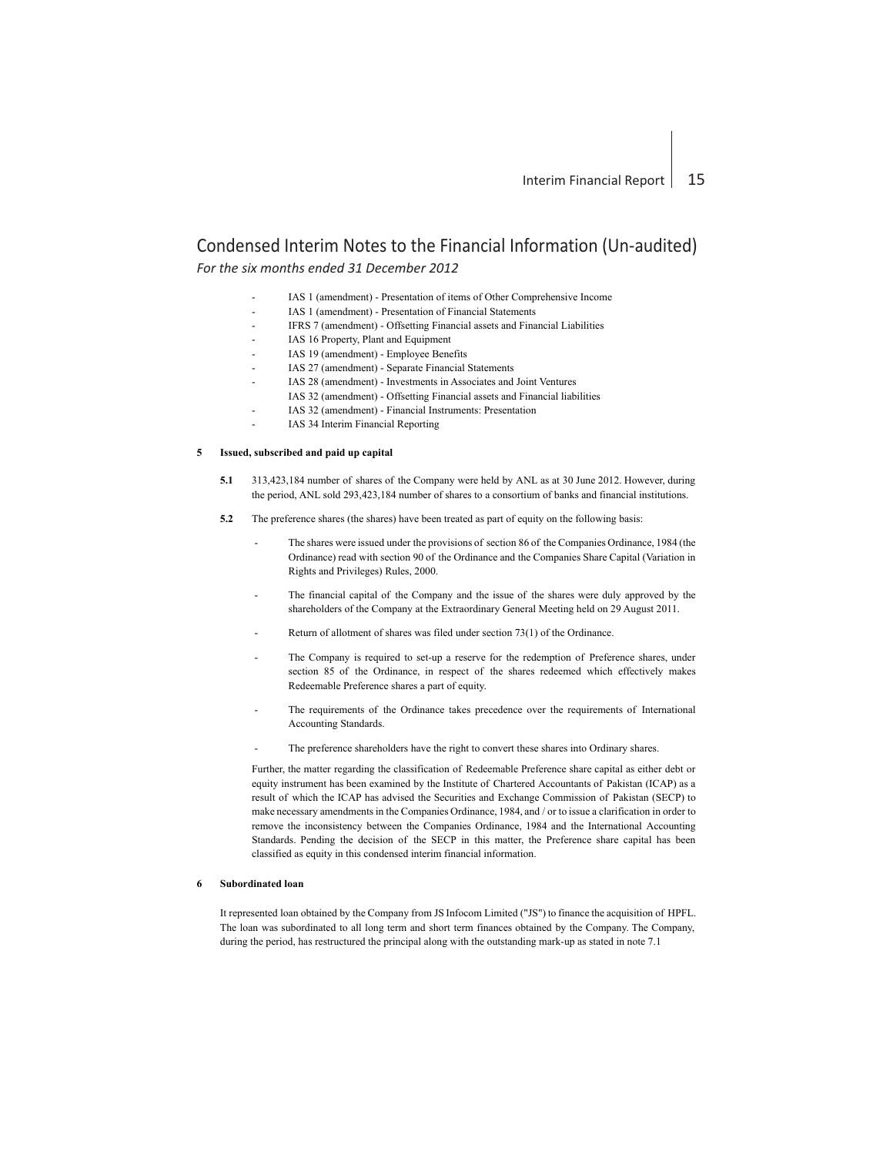# Condensed Interim Notes to the Financial Information (Un-audited)

*For the six months ended 31 December 2012*

- IAS 1 (amendment) Presentation of items of Other Comprehensive Income
- IAS 1 (amendment) Presentation of Financial Statements
	- IFRS 7 (amendment) Offsetting Financial assets and Financial Liabilities
- IAS 16 Property, Plant and Equipment
- IAS 19 (amendment) Employee Benefits
- IAS 27 (amendment) Separate Financial Statements
	- IAS 28 (amendment) Investments in Associates and Joint Ventures
	- IAS 32 (amendment) Offsetting Financial assets and Financial liabilities
	- IAS 32 (amendment) Financial Instruments: Presentation
- IAS 34 Interim Financial Reporting

### **5 Issued, subscribed and paid up capital**

- **5.1** 313,423,184 number of shares of the Company were held by ANL as at 30 June 2012. However, during the period, ANL sold 293,423,184 number of shares to a consortium of banks and financial institutions.
- **5.2** The preference shares (the shares) have been treated as part of equity on the following basis:
	- The shares were issued under the provisions of section 86 of the Companies Ordinance, 1984 (the Ordinance) read with section 90 of the Ordinance and the Companies Share Capital (Variation in Rights and Privileges) Rules, 2000.
	- The financial capital of the Company and the issue of the shares were duly approved by the shareholders of the Company at the Extraordinary General Meeting held on 29 August 2011.
	- Return of allotment of shares was filed under section 73(1) of the Ordinance.
	- The Company is required to set-up a reserve for the redemption of Preference shares, under section 85 of the Ordinance, in respect of the shares redeemed which effectively makes Redeemable Preference shares a part of equity.
	- The requirements of the Ordinance takes precedence over the requirements of International Accounting Standards.
	- The preference shareholders have the right to convert these shares into Ordinary shares.

Further, the matter regarding the classification of Redeemable Preference share capital as either debt or equity instrument has been examined by the Institute of Chartered Accountants of Pakistan (ICAP) as a result of which the ICAP has advised the Securities and Exchange Commission of Pakistan (SECP) to make necessary amendments in the Companies Ordinance, 1984, and / or to issue a clarification in order to remove the inconsistency between the Companies Ordinance, 1984 and the International Accounting Standards. Pending the decision of the SECP in this matter, the Preference share capital has been classified as equity in this condensed interim financial information.

## **6 Subordinated loan**

It represented loan obtained by the Company from JS Infocom Limited ("JS") to finance the acquisition of HPFL. The loan was subordinated to all long term and short term finances obtained by the Company. The Company, during the period, has restructured the principal along with the outstanding mark-up as stated in note 7.1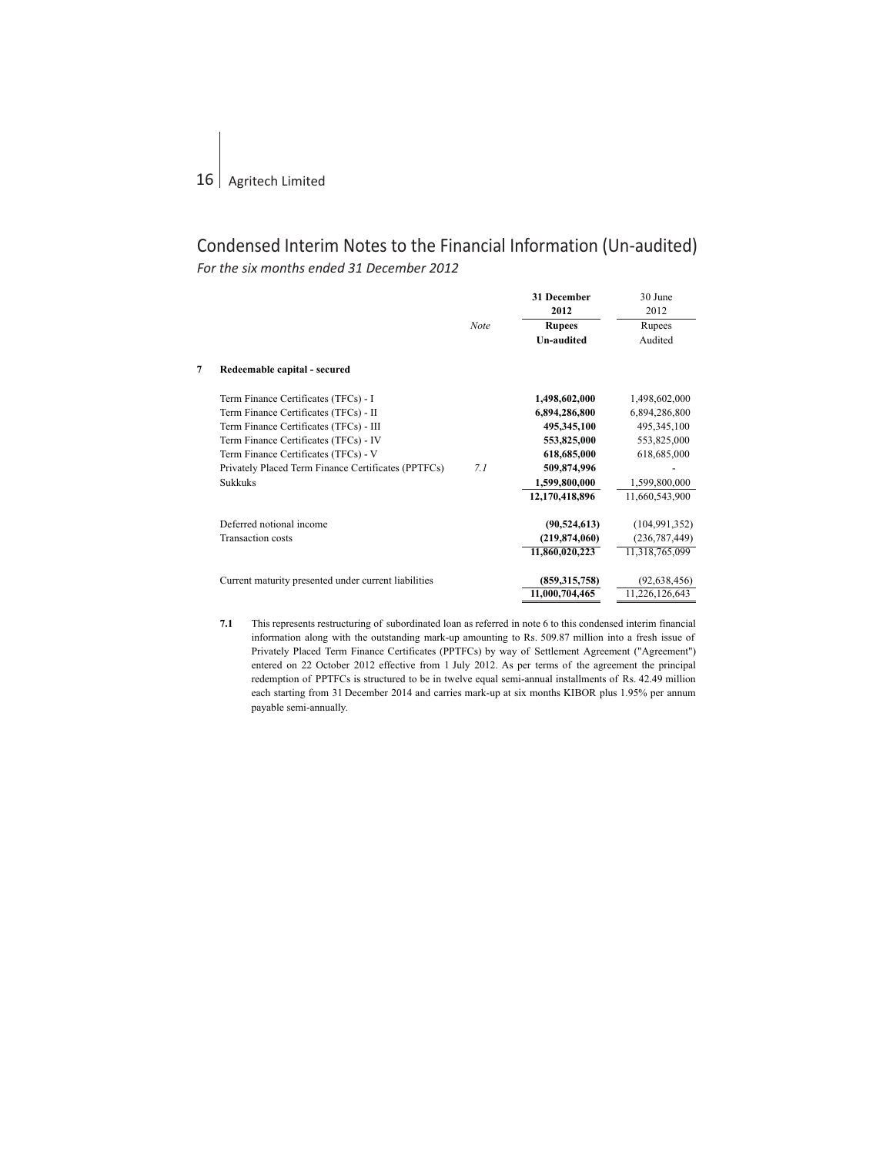|   |                                                      | <b>Note</b> | <b>31 December</b><br>2012<br><b>Rupees</b><br><b>Un-audited</b> | 30 June<br>2012<br>Rupees<br>Audited |
|---|------------------------------------------------------|-------------|------------------------------------------------------------------|--------------------------------------|
| 7 | Redeemable capital - secured                         |             |                                                                  |                                      |
|   | Term Finance Certificates (TFCs) - I                 |             | 1,498,602,000                                                    | 1,498,602,000                        |
|   | Term Finance Certificates (TFCs) - II                |             | 6,894,286,800                                                    | 6,894,286,800                        |
|   | Term Finance Certificates (TFCs) - III               |             | 495,345,100                                                      | 495, 345, 100                        |
|   | Term Finance Certificates (TFCs) - IV                |             | 553,825,000                                                      | 553,825,000                          |
|   | Term Finance Certificates (TFCs) - V                 |             | 618,685,000                                                      | 618,685,000                          |
|   | Privately Placed Term Finance Certificates (PPTFCs)  | 7.1         | 509,874,996                                                      |                                      |
|   | <b>Sukkuks</b>                                       |             | 1,599,800,000                                                    | 1,599,800,000                        |
|   |                                                      |             | 12,170,418,896                                                   | 11,660,543,900                       |
|   | Deferred notional income                             |             | (90, 524, 613)                                                   | (104, 991, 352)                      |
|   | Transaction costs                                    |             | (219, 874, 060)                                                  | (236, 787, 449)                      |
|   |                                                      |             | 11,860,020,223                                                   | 11,318,765,099                       |
|   | Current maturity presented under current liabilities |             | (859, 315, 758)                                                  | (92, 638, 456)                       |
|   |                                                      |             | 11,000,704,465                                                   | 11,226,126,643                       |
|   |                                                      |             |                                                                  |                                      |

**7.1** This represents restructuring of subordinated loan as referred in note 6 to this condensed interim financial information along with the outstanding mark-up amounting to Rs. 509.87 million into a fresh issue of Privately Placed Term Finance Certificates (PPTFCs) by way of Settlement Agreement ("Agreement") entered on 22 October 2012 effective from 1 July 2012. As per terms of the agreement the principal redemption of PPTFCs is structured to be in twelve equal semi-annual installments of Rs. 42.49 million each starting from 31 December 2014 and carries mark-up at six months KIBOR plus 1.95% per annum payable semi-annually.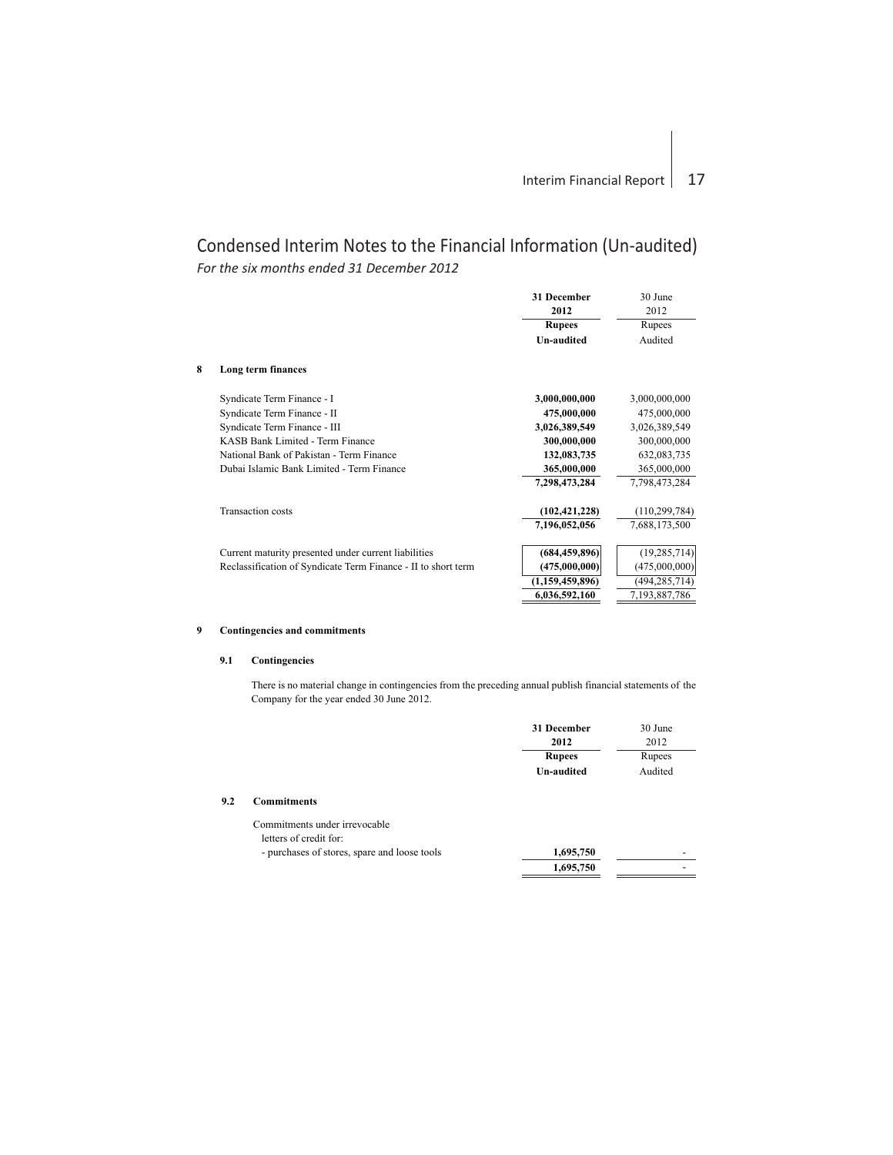|   |                                                               | 31 December<br>2012 | 30 June<br>2012  |
|---|---------------------------------------------------------------|---------------------|------------------|
|   |                                                               | <b>Rupees</b>       | Rupees           |
|   |                                                               | <b>Un-audited</b>   | Audited          |
| 8 | Long term finances                                            |                     |                  |
|   | Syndicate Term Finance - I                                    | 3,000,000,000       | 3,000,000,000    |
|   | Syndicate Term Finance - II                                   | 475,000,000         | 475,000,000      |
|   | Syndicate Term Finance - III                                  | 3,026,389,549       | 3,026,389,549    |
|   | KASB Bank Limited - Term Finance                              | 300,000,000         | 300,000,000      |
|   | National Bank of Pakistan - Term Finance                      | 132,083,735         | 632,083,735      |
|   | Dubai Islamic Bank Limited - Term Finance                     | 365,000,000         | 365,000,000      |
|   |                                                               | 7,298,473,284       | 7,798,473,284    |
|   | <b>Transaction costs</b>                                      | (102, 421, 228)     | (110, 299, 784)  |
|   |                                                               | 7,196,052,056       | 7,688,173,500    |
|   | Current maturity presented under current liabilities          | (684, 459, 896)     | (19, 285, 714)   |
|   | Reclassification of Syndicate Term Finance - II to short term | (475,000,000)       | (475,000,000)    |
|   |                                                               | (1,159,459,896)     | (494, 285, 714)  |
|   |                                                               | 6,036,592,160       | 7, 193, 887, 786 |

## **9 Contingencies and commitments**

## **9.1 Contingencies**

There is no material change in contingencies from the preceding annual publish financial statements of the Company for the year ended 30 June 2012.

|     |                               | 31 December       | 30 June |
|-----|-------------------------------|-------------------|---------|
|     |                               | 2012              | 2012    |
|     |                               | <b>Rupees</b>     | Rupees  |
|     |                               | <b>Un-audited</b> | Audited |
| 9.2 | <b>Commitments</b>            |                   |         |
|     | Commitments under irrevocable |                   |         |
|     | letters of credit for:        |                   |         |

| murchases of stores spare and loose tools |  |  |
|-------------------------------------------|--|--|

| purchases of stores, spare and loose tools | 1.695.750 |  |
|--------------------------------------------|-----------|--|
|                                            | 1.695.750 |  |
|                                            |           |  |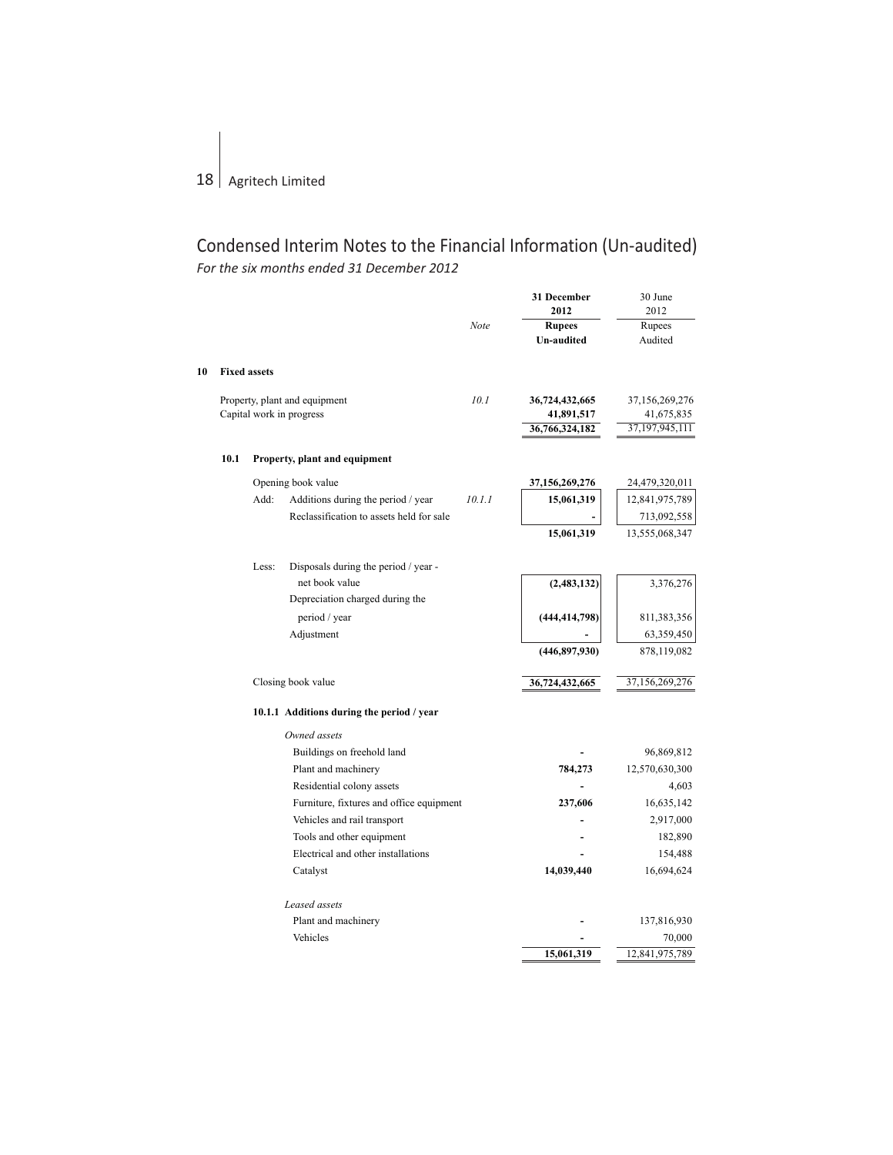**10** 

# Condensed Interim Notes to the Financial Information (Un-audited) *For the six months ended 31 December 2012*

|      |                     |                                           |        | 31 December<br>2012 | 30 June<br>2012 |
|------|---------------------|-------------------------------------------|--------|---------------------|-----------------|
|      |                     |                                           | Note   | <b>Rupees</b>       | <b>Rupees</b>   |
|      |                     |                                           |        | <b>Un-audited</b>   | Audited         |
|      | <b>Fixed assets</b> |                                           |        |                     |                 |
|      |                     | Property, plant and equipment             | 10.1   | 36,724,432,665      | 37,156,269,276  |
|      |                     | Capital work in progress                  |        | 41,891,517          | 41,675,835      |
|      |                     |                                           |        | 36,766,324,182      | 37,197,945,111  |
| 10.1 |                     | Property, plant and equipment             |        |                     |                 |
|      |                     | Opening book value                        |        | 37,156,269,276      | 24,479,320,011  |
|      | Add:                | Additions during the period / year        | 10.1.1 | 15,061,319          | 12,841,975,789  |
|      |                     | Reclassification to assets held for sale  |        |                     | 713,092,558     |
|      |                     |                                           |        | 15,061,319          | 13,555,068,347  |
|      | Less:               | Disposals during the period / year -      |        |                     |                 |
|      |                     | net book value                            |        | (2, 483, 132)       | 3,376,276       |
|      |                     | Depreciation charged during the           |        |                     |                 |
|      |                     | period / year                             |        | (444, 414, 798)     | 811,383,356     |
|      |                     | Adjustment                                |        |                     | 63,359,450      |
|      |                     |                                           |        | (446,897,930)       | 878,119,082     |
|      |                     | Closing book value                        |        | 36,724,432,665      | 37,156,269,276  |
|      |                     | 10.1.1 Additions during the period / year |        |                     |                 |
|      |                     | Owned assets                              |        |                     |                 |
|      |                     | Buildings on freehold land                |        |                     | 96,869,812      |
|      |                     | Plant and machinery                       |        | 784,273             | 12,570,630,300  |
|      |                     | Residential colony assets                 |        |                     | 4,603           |
|      |                     | Furniture, fixtures and office equipment  |        | 237,606             | 16,635,142      |
|      |                     | Vehicles and rail transport               |        |                     | 2,917,000       |
|      |                     | Tools and other equipment                 |        |                     | 182,890         |
|      |                     | Electrical and other installations        |        |                     | 154,488         |
|      |                     | Catalyst                                  |        | 14,039,440          | 16,694,624      |
|      |                     | Leased assets                             |        |                     |                 |
|      |                     | Plant and machinery                       |        |                     | 137,816,930     |
|      |                     | Vehicles                                  |        |                     | 70,000          |
|      |                     |                                           |        | 15,061,319          | 12,841,975,789  |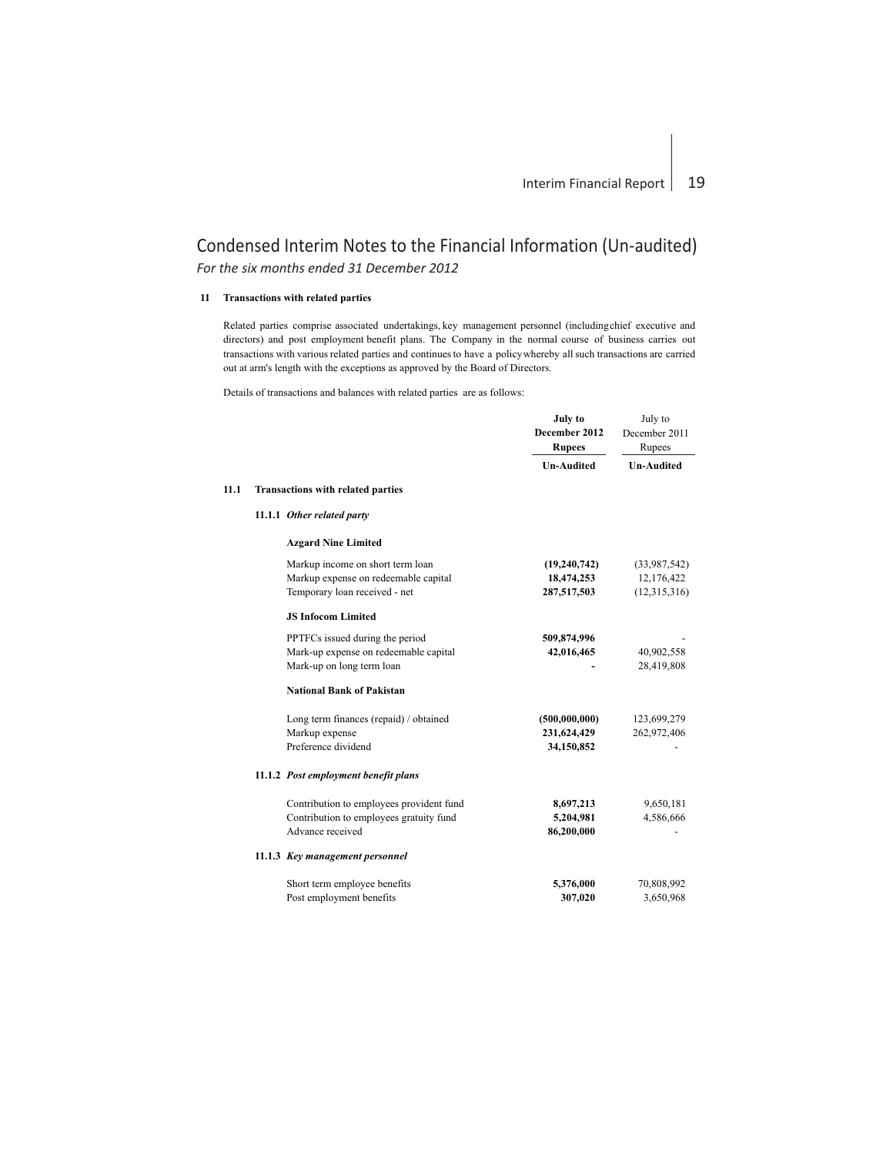## **11 Transactions with related parties**

**11.1**

Related parties comprise associated undertakings, key management personnel (includingchief executive and directors) and post employment benefit plans. The Company in the normal course of business carries out transactions with various related parties and continues to have a policywhereby all such transactions are carried out at arm's length with the exceptions as approved by the Board of Directors.

Details of transactions and balances with related parties are as follows:

|                                          | July to<br>December 2012<br><b>Rupees</b> | July to<br>December 2011<br>Rupees |
|------------------------------------------|-------------------------------------------|------------------------------------|
|                                          | <b>Un-Audited</b>                         | <b>Un-Audited</b>                  |
| <b>Transactions with related parties</b> |                                           |                                    |
| 11.1.1 Other related party               |                                           |                                    |
| <b>Azgard Nine Limited</b>               |                                           |                                    |
| Markup income on short term loan         | (19, 240, 742)                            | (33,987,542)                       |
| Markup expense on redeemable capital     | 18,474,253                                | 12,176,422                         |
| Temporary loan received - net            | 287,517,503                               | (12,315,316)                       |
| <b>JS Infocom Limited</b>                |                                           |                                    |
| PPTFCs issued during the period          | 509,874,996                               |                                    |
| Mark-up expense on redeemable capital    | 42,016,465                                | 40,902,558                         |
| Mark-up on long term loan                |                                           | 28,419,808                         |
| <b>National Bank of Pakistan</b>         |                                           |                                    |
| Long term finances (repaid) / obtained   | (500,000,000)                             | 123,699,279                        |
| Markup expense                           | 231,624,429                               | 262,972,406                        |
| Preference dividend                      | 34,150,852                                |                                    |
| 11.1.2 Post employment benefit plans     |                                           |                                    |
| Contribution to employees provident fund | 8,697,213                                 | 9,650,181                          |
| Contribution to employees gratuity fund  | 5,204,981                                 | 4,586,666                          |
| Advance received                         | 86,200,000                                |                                    |
| 11.1.3 Key management personnel          |                                           |                                    |
| Short term employee benefits             | 5,376,000                                 | 70,808,992                         |
| Post employment benefits                 | 307,020                                   | 3,650,968                          |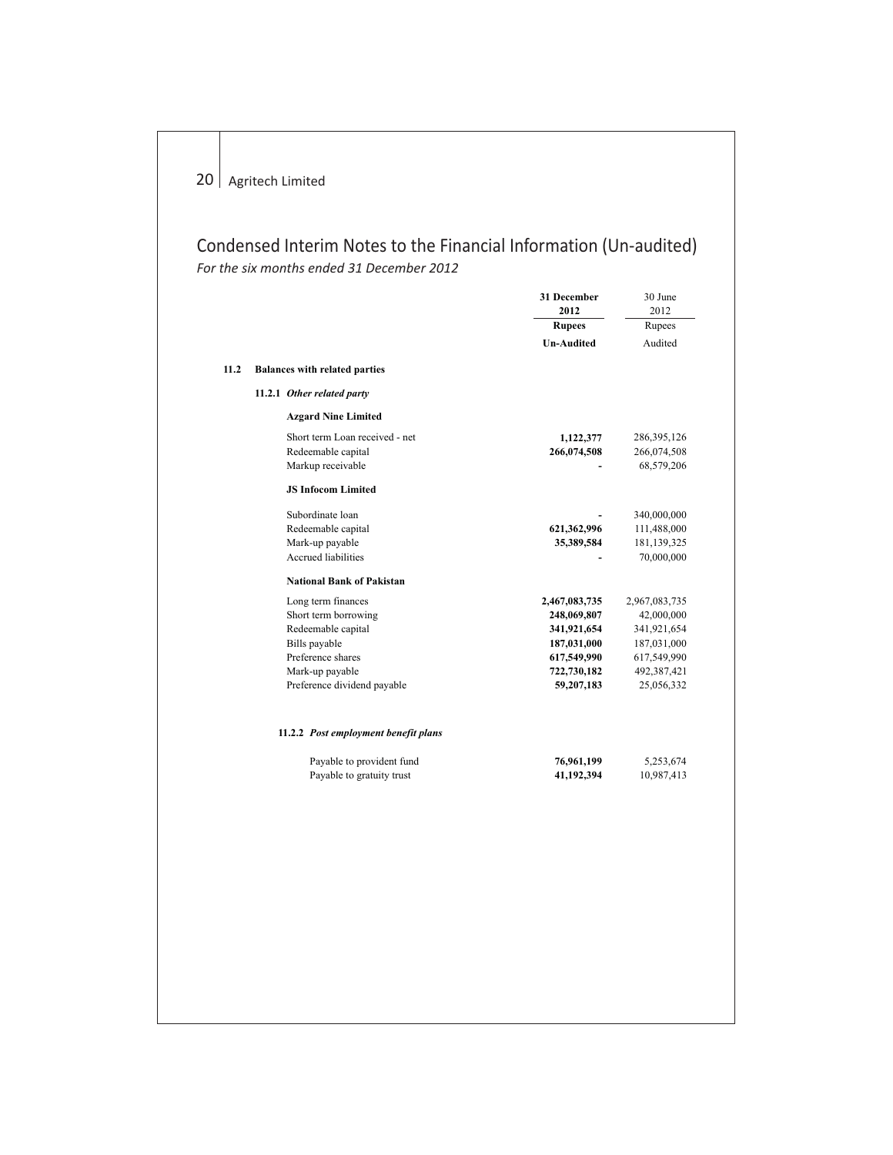|      |                                      | 31 December<br>2012 | 30 June<br>2012 |
|------|--------------------------------------|---------------------|-----------------|
|      |                                      | <b>Rupees</b>       | Rupees          |
|      |                                      | <b>Un-Audited</b>   | Audited         |
| 11.2 | <b>Balances with related parties</b> |                     |                 |
|      |                                      |                     |                 |
|      | 11.2.1 Other related party           |                     |                 |
|      | <b>Azgard Nine Limited</b>           |                     |                 |
|      | Short term Loan received - net       | 1,122,377           | 286, 395, 126   |
|      | Redeemable capital                   | 266,074,508         | 266,074,508     |
|      | Markup receivable                    |                     | 68,579,206      |
|      | <b>JS Infocom Limited</b>            |                     |                 |
|      | Subordinate loan                     |                     | 340,000,000     |
|      | Redeemable capital                   | 621,362,996         | 111,488,000     |
|      | Mark-up payable                      | 35,389,584          | 181,139,325     |
|      | <b>Accrued liabilities</b>           |                     | 70,000,000      |
|      | <b>National Bank of Pakistan</b>     |                     |                 |
|      | Long term finances                   | 2,467,083,735       | 2,967,083,735   |
|      | Short term borrowing                 | 248,069,807         | 42,000,000      |
|      | Redeemable capital                   | 341,921,654         | 341,921,654     |
|      | Bills payable                        | 187,031,000         | 187,031,000     |
|      | Preference shares                    | 617,549,990         | 617,549,990     |
|      | Mark-up payable                      | 722,730,182         | 492,387,421     |
|      | Preference dividend payable          | 59,207,183          | 25,056,332      |
|      | 11.2.2 Post employment benefit plans |                     |                 |
|      | Payable to provident fund            | 76,961,199          | 5,253,674       |
|      | Payable to gratuity trust            | 41,192,394          | 10,987,413      |
|      |                                      |                     |                 |
|      |                                      |                     |                 |
|      |                                      |                     |                 |
|      |                                      |                     |                 |
|      |                                      |                     |                 |
|      |                                      |                     |                 |
|      |                                      |                     |                 |
|      |                                      |                     |                 |
|      |                                      |                     |                 |
|      |                                      |                     |                 |
|      |                                      |                     |                 |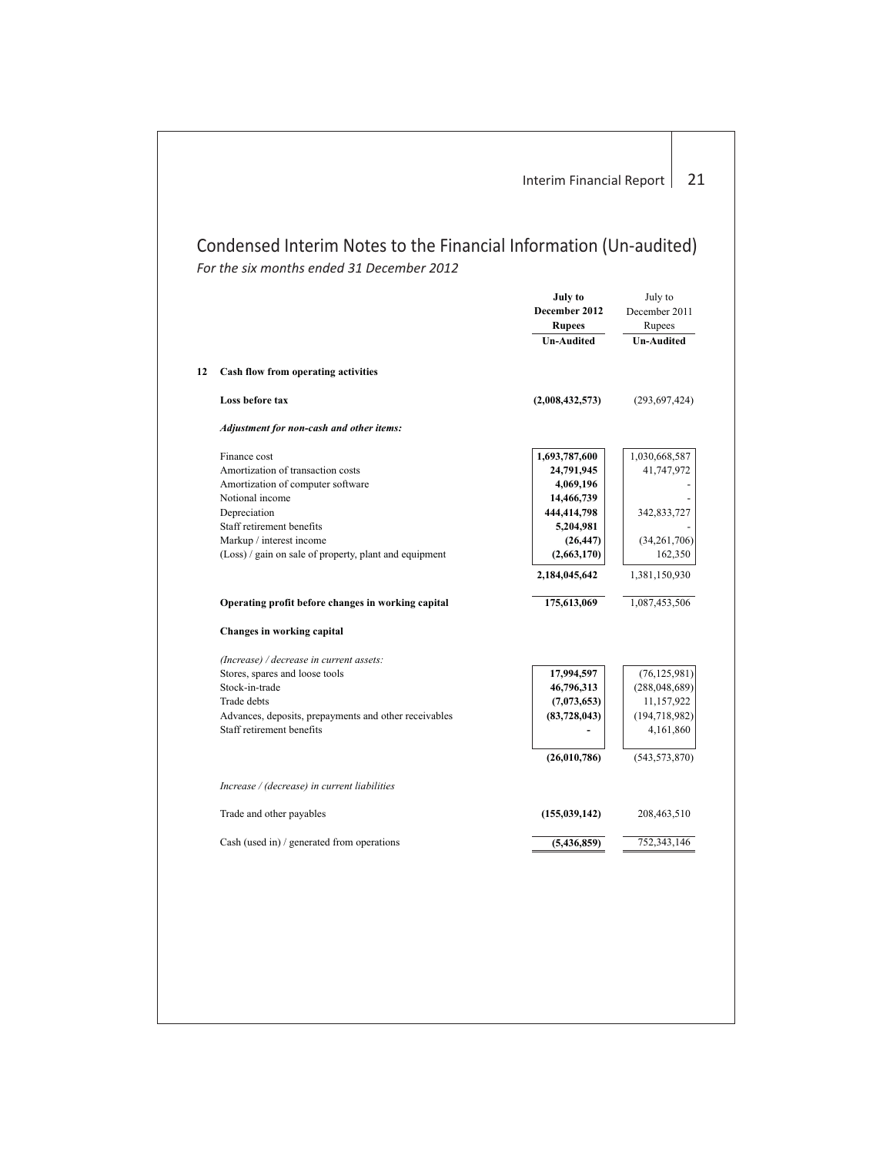|    |                                                        | July to<br>December 2012<br><b>Rupees</b><br><b>Un-Audited</b> | July to<br>December 2011<br>Rupees<br><b>Un-Audited</b> |
|----|--------------------------------------------------------|----------------------------------------------------------------|---------------------------------------------------------|
| 12 | Cash flow from operating activities                    |                                                                |                                                         |
|    | Loss before tax                                        | (2,008,432,573)                                                | (293, 697, 424)                                         |
|    | Adjustment for non-cash and other items:               |                                                                |                                                         |
|    | Finance cost                                           | 1,693,787,600                                                  | 1,030,668,587                                           |
|    | Amortization of transaction costs                      | 24,791,945                                                     | 41,747,972                                              |
|    | Amortization of computer software                      | 4,069,196                                                      |                                                         |
|    | Notional income                                        | 14,466,739                                                     |                                                         |
|    | Depreciation                                           | 444,414,798                                                    | 342,833,727                                             |
|    | Staff retirement benefits                              | 5,204,981                                                      |                                                         |
|    | Markup / interest income                               | (26, 447)                                                      | (34, 261, 706)                                          |
|    | (Loss) / gain on sale of property, plant and equipment | (2,663,170)                                                    | 162,350                                                 |
|    |                                                        | 2,184,045,642                                                  | 1,381,150,930                                           |
|    |                                                        |                                                                |                                                         |
|    | Operating profit before changes in working capital     | 175,613,069                                                    | 1,087,453,506                                           |
|    | Changes in working capital                             |                                                                |                                                         |
|    | (Increase) / decrease in current assets:               |                                                                |                                                         |
|    | Stores, spares and loose tools                         | 17,994,597                                                     | (76, 125, 981)                                          |
|    | Stock-in-trade                                         | 46,796,313                                                     | (288, 048, 689)                                         |
|    | Trade debts                                            | (7,073,653)                                                    | 11,157,922                                              |
|    | Advances, deposits, prepayments and other receivables  | (83,728,043)                                                   | (194, 718, 982)                                         |
|    | Staff retirement benefits                              |                                                                | 4,161,860                                               |
|    |                                                        | (26,010,786)                                                   | (543, 573, 870)                                         |
|    | Increase / (decrease) in current liabilities           |                                                                |                                                         |
|    | Trade and other payables                               | (155, 039, 142)                                                | 208,463,510                                             |